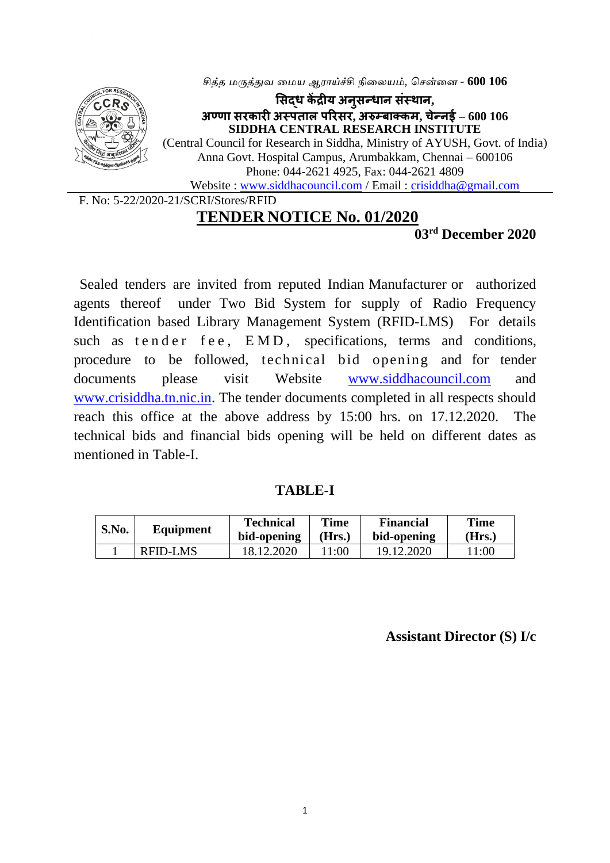*சித்த மருத்துவ மமய ஆராய்ச்சி நிமையம்*, *சென்மை* - **600 106**



**सिद्ध कें द्रीय अनुिन्धान िंस्थान, अण्णा िरकारी अस्पताल पररिर, अरुम्बाक्कम, चेन्नई – 600 106 SIDDHA CENTRAL RESEARCH INSTITUTE**

(Central Council for Research in Siddha, Ministry of AYUSH, Govt. of India) Anna Govt. Hospital Campus, Arumbakkam, Chennai – 600106 Phone: 044-2621 4925, Fax: 044-2621 4809

Website : [www.siddhacouncil.com](http://www.siddhacouncil.com/) / Email : [crisiddha@gmail.com](mailto:crisiddha@gmail.com)

F. No: 5-22/2020-21/SCRI/Stores/RFID

## **TENDER NOTICE No. 01/2020**

**03 rd December 2020**

Sealed tenders are invited from reputed Indian Manufacturer or authorized agents thereof under Two Bid System for supply of Radio Frequency Identification based Library Management System (RFID-LMS) For details such as tender fee, EMD, specifications, terms and conditions, procedure to be followed, technical bid opening and for tender documents please visit Website [www.siddhacouncil.com](http://www.siddhacouncil.com/) and [www.crisiddha.tn.nic.in.](http://www.crisiddha.tn.nic.in/) The tender documents completed in all respects should reach this office at the above address by 15:00 hrs. on 17.12.2020. The technical bids and financial bids opening will be held on different dates as mentioned in Table-I.

## **TABLE-I**

| S.No. | Equipment | Technical<br>bid-opening | Time<br>Hrs. | <b>Financial</b><br>bid-opening | <b>Time</b><br>Hrs. |
|-------|-----------|--------------------------|--------------|---------------------------------|---------------------|
|       | RFID-LMS  | 8.12.2020                | 1:00         | 19.12.2020                      | 11:00               |

**Assistant Director (S) I/c**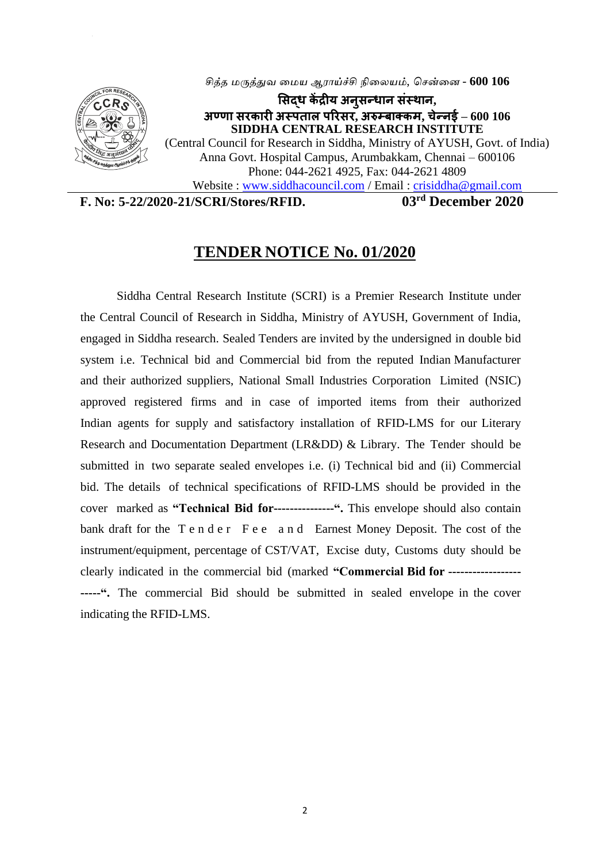

*சித்த மருத்துவ மமய ஆராய்ச்சி நிமையம்*, *சென்மை* - **600 106**

**सिद्ध कें द्रीय अनुिन्धान िंस्थान, अण्णा िरकारी अस्पताल पररिर, अरुम्बाक्कम, चेन्नई – 600 106 SIDDHA CENTRAL RESEARCH INSTITUTE**

(Central Council for Research in Siddha, Ministry of AYUSH, Govt. of India) Anna Govt. Hospital Campus, Arumbakkam, Chennai – 600106 Phone: 044-2621 4925, Fax: 044-2621 4809

Website : [www.siddhacouncil.com](http://www.siddhacouncil.com/) / Email : [crisiddha@gmail.com](mailto:crisiddha@gmail.com)

**F. No: 5-22/2020-21/SCRI/Stores/RFID. 03**

**rd December 2020**

## **TENDER NOTICE No. 01/2020**

Siddha Central Research Institute (SCRI) is a Premier Research Institute under the Central Council of Research in Siddha, Ministry of AYUSH, Government of India, engaged in Siddha research. Sealed Tenders are invited by the undersigned in double bid system i.e. Technical bid and Commercial bid from the reputed Indian Manufacturer and their authorized suppliers, National Small Industries Corporation Limited (NSIC) approved registered firms and in case of imported items from their authorized Indian agents for supply and satisfactory installation of RFID-LMS for our Literary Research and Documentation Department (LR&DD) & Library. The Tender should be submitted in two separate sealed envelopes i.e. (i) Technical bid and (ii) Commercial bid. The details of technical specifications of RFID-LMS should be provided in the cover marked as **"Technical Bid for---------------".** This envelope should also contain bank draft for the T e n d e r F e e a n d Earnest Money Deposit. The cost of the instrument/equipment, percentage of CST/VAT, Excise duty, Customs duty should be clearly indicated in the commercial bid (marked **"Commercial Bid for ------------------ -----".** The commercial Bid should be submitted in sealed envelope in the cover indicating the RFID-LMS.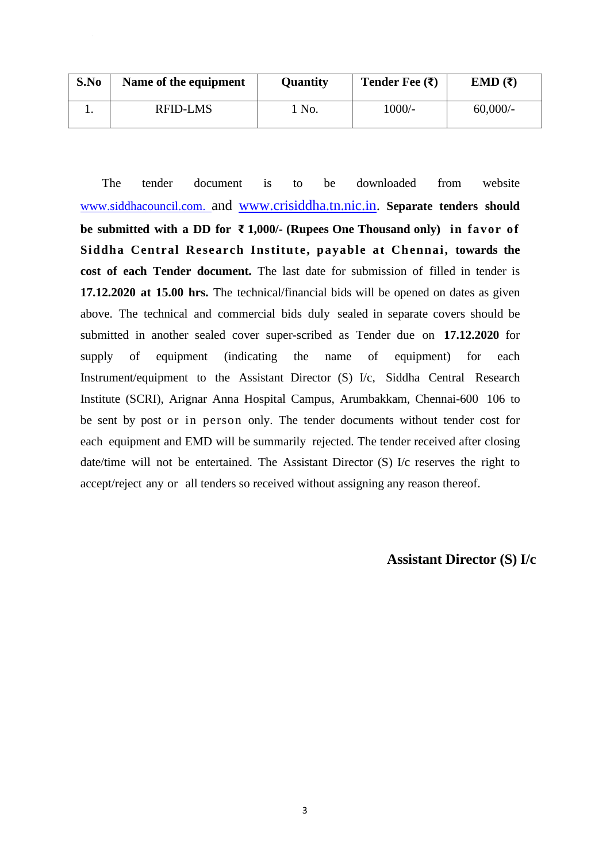| S.No | Name of the equipment | <b>Quantity</b> | Tender Fee $(\bar{\mathbf{z}})$ | EMD $(3)$   |
|------|-----------------------|-----------------|---------------------------------|-------------|
|      | <b>RFID-LMS</b>       | No.             | $1000/-$                        | $60,000/$ - |

The tender document is to be downloaded from website [www.siddhacouncil.com.](http://www.siddhacouncil.com/) and [www.crisiddha.tn.nic.in.](http://www.crisiddha.tn.nic.in/) **Separate tenders should be submitted with a DD for ₹ 1,000/- (Rupees One Thousand only) in favor of Siddha Central Research Institute, payable at Chennai, towards the cost of each Tender document.** The last date for submission of filled in tender is **17.12.2020 at 15.00 hrs.** The technical/financial bids will be opened on dates as given above. The technical and commercial bids duly sealed in separate covers should be submitted in another sealed cover super-scribed as Tender due on **17.12.2020** for supply of equipment (indicating the name of equipment) for each Instrument/equipment to the Assistant Director (S) I/c, Siddha Central Research Institute (SCRI), Arignar Anna Hospital Campus, Arumbakkam, Chennai-600 106 to be sent by post or in person only. The tender documents without tender cost for each equipment and EMD will be summarily rejected. The tender received after closing date/time will not be entertained. The Assistant Director (S) I/c reserves the right to accept/reject any or all tenders so received without assigning any reason thereof.

**Assistant Director (S) I/c**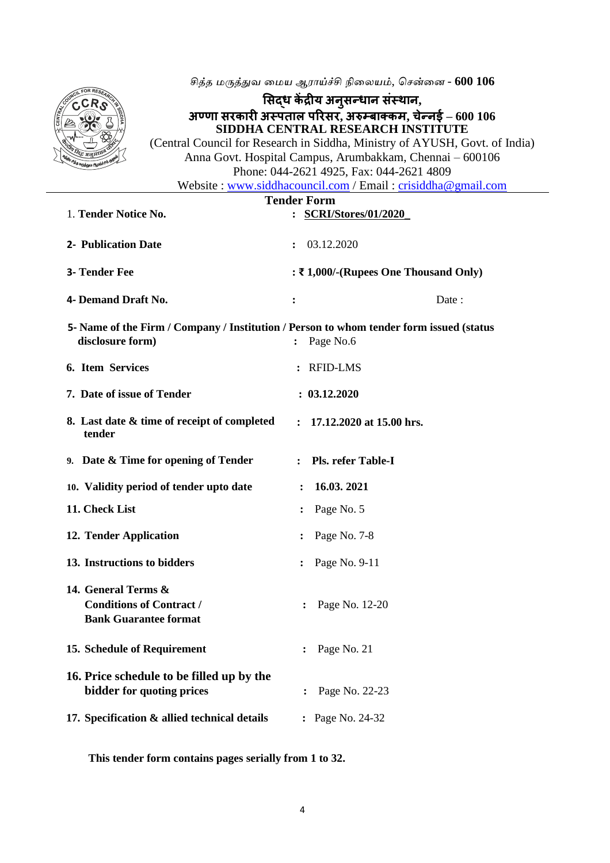*சித்த மருத்துவ மமய ஆராய்ச்சி நிமையம்*, *சென்மை* - **600 106**

### **सिद्ध कें द्रीय अनुिन्धान िंस्थान, अण्णा िरकारी अस्पताल पररिर, अरुम्बाक्कम, चेन्नई – 600 106 SIDDHA CENTRAL RESEARCH INSTITUTE**

(Central Council for Research in Siddha, Ministry of AYUSH, Govt. of India) Anna Govt. Hospital Campus, Arumbakkam, Chennai – 600106 Phone: 044-2621 4925, Fax: 044-2621 4809 Website : [www.siddhacouncil.com](http://www.siddhacouncil.com/) / Email : [crisiddha@gmail.com](mailto:crisiddha@gmail.com)

**Tender Form** 1. **Tender Notice No. : SCRI/Stores/01/2020**\_

| 2- Publication Date                                                                                         | 03.12.2020<br>$\ddot{\cdot}$                |
|-------------------------------------------------------------------------------------------------------------|---------------------------------------------|
| 3- Tender Fee                                                                                               | $: \xi$ 1,000/-(Rupees One Thousand Only)   |
| 4- Demand Draft No.                                                                                         | Date:<br>:                                  |
| 5- Name of the Firm / Company / Institution / Person to whom tender form issued (status<br>disclosure form) | Page No.6                                   |
| 6. Item Services                                                                                            | : RFID-LMS                                  |
| 7. Date of issue of Tender                                                                                  | : 03.12.2020                                |
| 8. Last date & time of receipt of completed<br>tender                                                       | 17.12.2020 at 15.00 hrs.<br>$\ddot{\cdot}$  |
| 9. Date & Time for opening of Tender                                                                        | <b>Pls. refer Table-I</b><br>$\ddot{\cdot}$ |
| 10. Validity period of tender upto date                                                                     | 16.03.2021<br>$\ddot{\cdot}$                |
| 11. Check List                                                                                              | Page No. 5<br>$\ddot{\cdot}$                |
| 12. Tender Application                                                                                      | Page No. 7-8<br>$\ddot{\cdot}$              |
| 13. Instructions to bidders                                                                                 | Page No. 9-11<br>$\ddot{\cdot}$             |
| 14. General Terms &<br><b>Conditions of Contract /</b><br><b>Bank Guarantee format</b>                      | Page No. 12-20<br>$\ddot{\cdot}$            |
| 15. Schedule of Requirement                                                                                 | Page No. 21<br>$\ddot{\cdot}$               |
| 16. Price schedule to be filled up by the<br>bidder for quoting prices                                      | Page No. 22-23<br>:                         |
| 17. Specification & allied technical details                                                                | : Page No. 24-32                            |
|                                                                                                             |                                             |

**This tender form contains pages serially from 1 to 32.**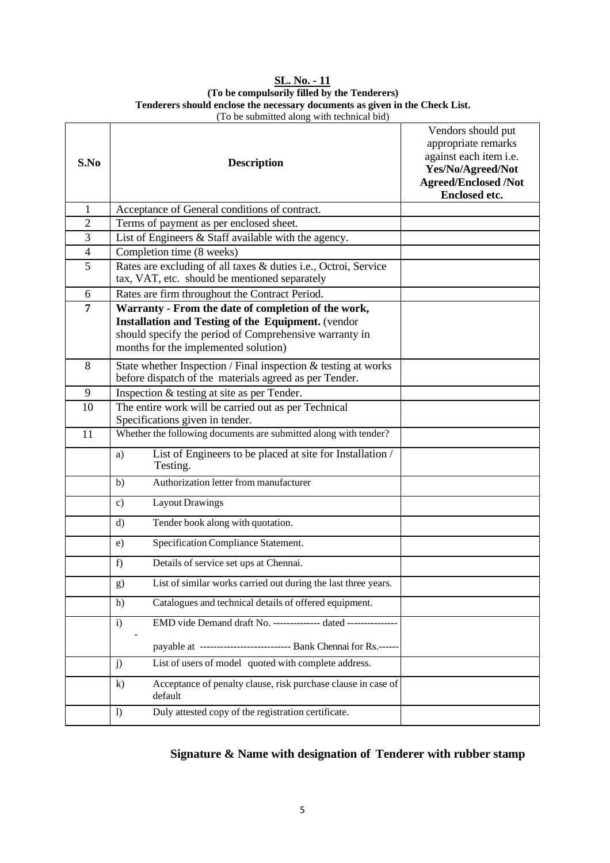#### **SL. No. - 11 (To be compulsorily filled by the Tenderers) Tenderers should enclose the necessary documents as given in the Check List.** (To be submitted along with technical bid)

| S.No           | <b>Description</b>                                                                                                                                                                                          | Vendors should put<br>appropriate remarks<br>against each item i.e.<br>Yes/No/Agreed/Not<br><b>Agreed/Enclosed /Not</b><br><b>Enclosed etc.</b> |
|----------------|-------------------------------------------------------------------------------------------------------------------------------------------------------------------------------------------------------------|-------------------------------------------------------------------------------------------------------------------------------------------------|
| 1              | Acceptance of General conditions of contract.                                                                                                                                                               |                                                                                                                                                 |
| $\overline{2}$ | Terms of payment as per enclosed sheet.                                                                                                                                                                     |                                                                                                                                                 |
| 3              | List of Engineers $&$ Staff available with the agency.                                                                                                                                                      |                                                                                                                                                 |
| $\overline{4}$ | Completion time (8 weeks)                                                                                                                                                                                   |                                                                                                                                                 |
| 5              | Rates are excluding of all taxes & duties i.e., Octroi, Service<br>tax, VAT, etc. should be mentioned separately                                                                                            |                                                                                                                                                 |
| 6              | Rates are firm throughout the Contract Period.                                                                                                                                                              |                                                                                                                                                 |
| $\overline{7}$ | Warranty - From the date of completion of the work,<br>Installation and Testing of the Equipment. (vendor<br>should specify the period of Comprehensive warranty in<br>months for the implemented solution) |                                                                                                                                                 |
| 8              | State whether Inspection / Final inspection & testing at works<br>before dispatch of the materials agreed as per Tender.                                                                                    |                                                                                                                                                 |
| 9              | Inspection & testing at site as per Tender.                                                                                                                                                                 |                                                                                                                                                 |
| 10             | The entire work will be carried out as per Technical<br>Specifications given in tender.                                                                                                                     |                                                                                                                                                 |
| 11             | Whether the following documents are submitted along with tender?                                                                                                                                            |                                                                                                                                                 |
|                | List of Engineers to be placed at site for Installation /<br>a)<br>Testing.                                                                                                                                 |                                                                                                                                                 |
|                | Authorization letter from manufacturer<br>b)                                                                                                                                                                |                                                                                                                                                 |
|                | <b>Layout Drawings</b><br>$\mathbf{c})$                                                                                                                                                                     |                                                                                                                                                 |
|                | Tender book along with quotation.<br>$\mathbf{d}$                                                                                                                                                           |                                                                                                                                                 |
|                | Specification Compliance Statement.<br>e)                                                                                                                                                                   |                                                                                                                                                 |
|                | Details of service set ups at Chennai.<br>f)                                                                                                                                                                |                                                                                                                                                 |
|                | List of similar works carried out during the last three years.<br>g)                                                                                                                                        |                                                                                                                                                 |
|                | Catalogues and technical details of offered equipment.<br>h)                                                                                                                                                |                                                                                                                                                 |
|                | EMD vide Demand draft No. -------------- dated ---------------<br>$\mathbf{i}$                                                                                                                              |                                                                                                                                                 |
|                | payable at ---------------------------- Bank Chennai for Rs.------                                                                                                                                          |                                                                                                                                                 |
|                | List of users of model quoted with complete address.<br>j)                                                                                                                                                  |                                                                                                                                                 |
|                | Acceptance of penalty clause, risk purchase clause in case of<br>$\bf k)$<br>default                                                                                                                        |                                                                                                                                                 |
|                | Duly attested copy of the registration certificate.<br>$\left  \right $                                                                                                                                     |                                                                                                                                                 |

## **Signature & Name with designation of Tenderer with rubber stamp**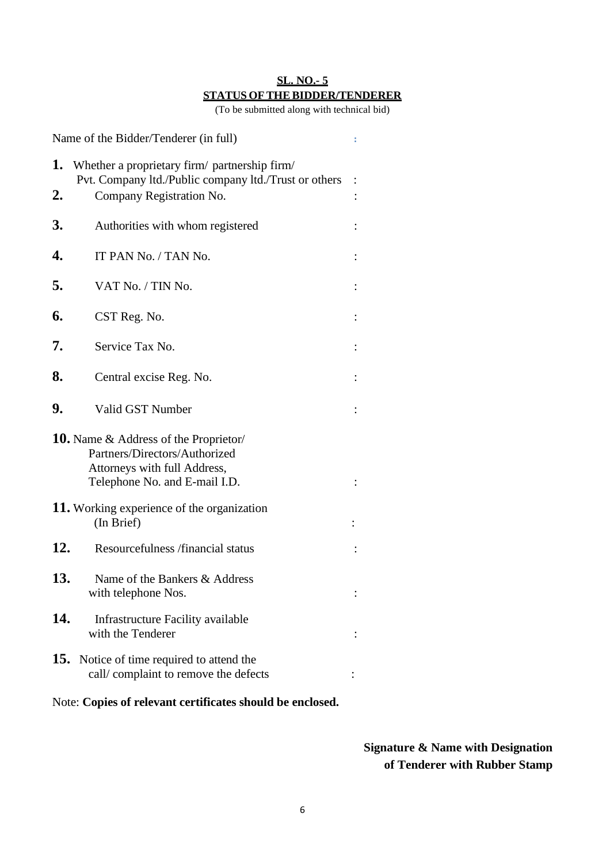#### **SL. NO.- 5 STATUS OFTHEBIDDER/TENDERER**

(To be submitted along with technical bid)

|     | Name of the Bidder/Tenderer (in full)                                                                                                          |  |
|-----|------------------------------------------------------------------------------------------------------------------------------------------------|--|
| 1.  | Whether a proprietary firm/ partnership firm/<br>Pvt. Company ltd./Public company ltd./Trust or others                                         |  |
| 2.  | Company Registration No.                                                                                                                       |  |
| 3.  | Authorities with whom registered                                                                                                               |  |
| 4.  | IT PAN No. / TAN No.                                                                                                                           |  |
| 5.  | VAT No. / TIN No.                                                                                                                              |  |
| 6.  | CST Reg. No.                                                                                                                                   |  |
| 7.  | Service Tax No.                                                                                                                                |  |
| 8.  | Central excise Reg. No.                                                                                                                        |  |
| 9.  | Valid GST Number                                                                                                                               |  |
|     | <b>10.</b> Name & Address of the Proprietor/<br>Partners/Directors/Authorized<br>Attorneys with full Address,<br>Telephone No. and E-mail I.D. |  |
|     | 11. Working experience of the organization<br>(In Brief)                                                                                       |  |
| 12. | Resourcefulness /financial status                                                                                                              |  |
| 13. | Name of the Bankers & Address<br>with telephone Nos.                                                                                           |  |
| 14. | Infrastructure Facility available<br>with the Tenderer                                                                                         |  |
| 15. | Notice of time required to attend the<br>call/complaint to remove the defects                                                                  |  |

Note: **Copies of relevant certificates should be enclosed.**

**Signature & Name with Designation of Tenderer with Rubber Stamp**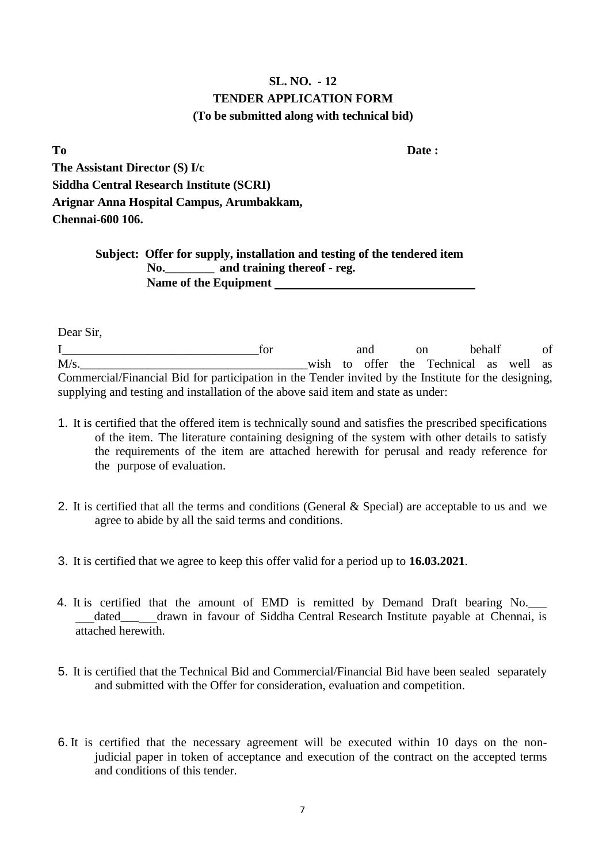### **SL. NO. - 12 TENDER APPLICATION FORM (To be submitted along with technical bid)**

**To Date :** **The Assistant Director (S) I/c Siddha Central Research Institute (SCRI) Arignar Anna Hospital Campus, Arumbakkam, Chennai-600 106.**

#### **Subject: Offer for supply, installation and testing of the tendered item No.\_\_\_\_\_\_\_\_ and training thereof - reg. Name of the Equipment**

Dear Sir,

I\_\_\_\_\_\_\_\_\_\_\_\_\_\_\_\_\_\_\_\_\_\_\_\_\_\_\_\_\_\_\_\_for and on behalf of M/s. Wish to offer the Technical as well as Commercial/Financial Bid for participation in the Tender invited by the Institute for the designing, supplying and testing and installation of the above said item and state as under:

- 1. It is certified that the offered item is technically sound and satisfies the prescribed specifications of the item. The literature containing designing of the system with other details to satisfy the requirements of the item are attached herewith for perusal and ready reference for the purpose of evaluation.
- 2. It is certified that all the terms and conditions (General & Special) are acceptable to us and we agree to abide by all the said terms and conditions.
- 3. It is certified that we agree to keep this offer valid for a period up to **16.03.2021**.
- 4. It is certified that the amount of EMD is remitted by Demand Draft bearing No. dated\_\_\_ drawn in favour of Siddha Central Research Institute payable at Chennai, is attached herewith.
- 5. It is certified that the Technical Bid and Commercial/Financial Bid have been sealed separately and submitted with the Offer for consideration, evaluation and competition.
- 6. It is certified that the necessary agreement will be executed within 10 days on the nonjudicial paper in token of acceptance and execution of the contract on the accepted terms and conditions of this tender.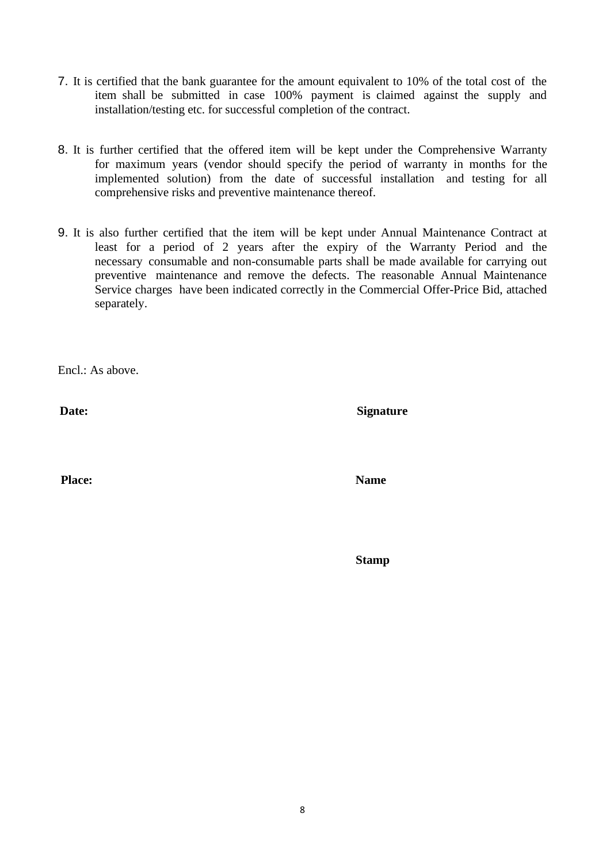- 7. It is certified that the bank guarantee for the amount equivalent to 10% of the total cost of the item shall be submitted in case 100% payment is claimed against the supply and installation/testing etc. for successful completion of the contract.
- 8. It is further certified that the offered item will be kept under the Comprehensive Warranty for maximum years (vendor should specify the period of warranty in months for the implemented solution) from the date of successful installation and testing for all comprehensive risks and preventive maintenance thereof.
- 9. It is also further certified that the item will be kept under Annual Maintenance Contract at least for a period of 2 years after the expiry of the Warranty Period and the necessary consumable and non-consumable parts shall be made available for carrying out preventive maintenance and remove the defects. The reasonable Annual Maintenance Service charges have been indicated correctly in the Commercial Offer-Price Bid, attached separately.

Encl.: As above.

**Date: Signature**

**Place: Name**

**Stamp**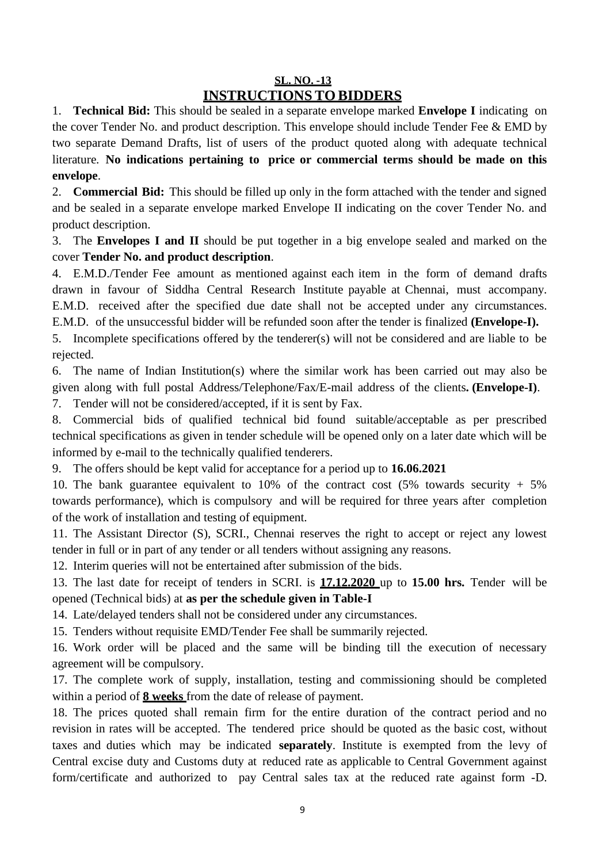#### **SL. NO. -13 INSTRUCTIONS TO BIDDERS**

1. **Technical Bid:** This should be sealed in a separate envelope marked **Envelope I** indicating on the cover Tender No. and product description. This envelope should include Tender Fee  $\&$  EMD by two separate Demand Drafts, list of users of the product quoted along with adequate technical literature. **No indications pertaining to price or commercial terms should be made on this envelope**.

2. **Commercial Bid:** This should be filled up only in the form attached with the tender and signed and be sealed in a separate envelope marked Envelope II indicating on the cover Tender No. and product description.

3. The **Envelopes I and II** should be put together in a big envelope sealed and marked on the cover **Tender No. and product description**.

4. E.M.D./Tender Fee amount as mentioned against each item in the form of demand drafts drawn in favour of Siddha Central Research Institute payable at Chennai, must accompany. E.M.D. received after the specified due date shall not be accepted under any circumstances. E.M.D. of the unsuccessful bidder will be refunded soon after the tender is finalized **(Envelope-I).**

5. Incomplete specifications offered by the tenderer(s) will not be considered and are liable to be rejected.

6. The name of Indian Institution(s) where the similar work has been carried out may also be given along with full postal Address/Telephone/Fax/E-mail address of the clients**. (Envelope-I)**.

7. Tender will not be considered/accepted, if it is sent by Fax.

8. Commercial bids of qualified technical bid found suitable/acceptable as per prescribed technical specifications as given in tender schedule will be opened only on a later date which will be informed by e-mail to the technically qualified tenderers.

9. The offers should be kept valid for acceptance for a period up to **16.06.2021**

10. The bank guarantee equivalent to 10% of the contract cost  $(5\%$  towards security + 5% towards performance), which is compulsory and will be required for three years after completion of the work of installation and testing of equipment.

11. The Assistant Director (S), SCRI., Chennai reserves the right to accept or reject any lowest tender in full or in part of any tender or all tenders without assigning any reasons.

12. Interim queries will not be entertained after submission of the bids.

13. The last date for receipt of tenders in SCRI. is **17.12.2020** up to **15.00 hrs.** Tender will be opened (Technical bids) at **as per the schedule given in Table-I**

14. Late/delayed tenders shall not be considered under any circumstances.

15. Tenders without requisite EMD/Tender Fee shall be summarily rejected.

16. Work order will be placed and the same will be binding till the execution of necessary agreement will be compulsory.

17. The complete work of supply, installation, testing and commissioning should be completed within a period of **8 weeks** from the date of release of payment.

18. The prices quoted shall remain firm for the entire duration of the contract period and no revision in rates will be accepted. The tendered price should be quoted as the basic cost, without taxes and duties which may be indicated **separately**. Institute is exempted from the levy of Central excise duty and Customs duty at reduced rate as applicable to Central Government against form/certificate and authorized to pay Central sales tax at the reduced rate against form -D.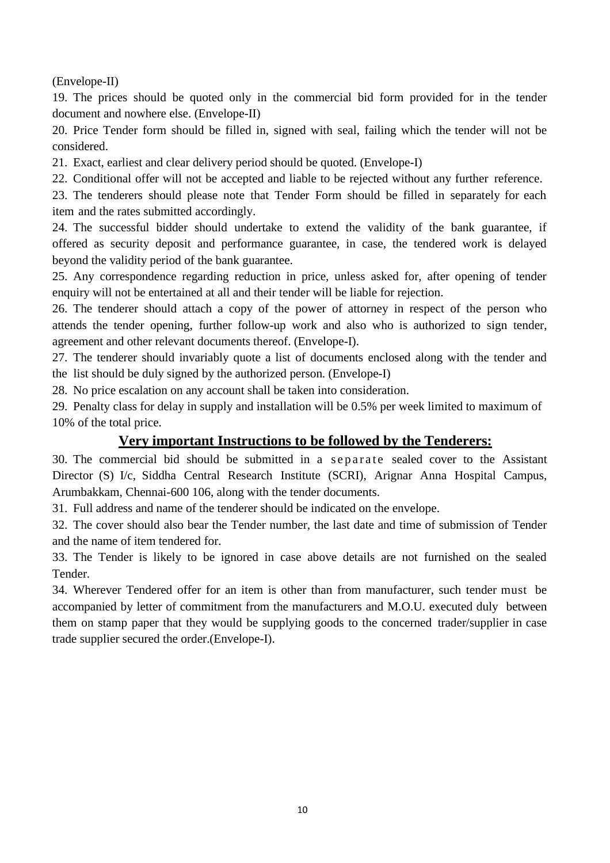(Envelope-II)

19. The prices should be quoted only in the commercial bid form provided for in the tender document and nowhere else. (Envelope-II)

20. Price Tender form should be filled in, signed with seal, failing which the tender will not be considered.

21. Exact, earliest and clear delivery period should be quoted. (Envelope-I)

22. Conditional offer will not be accepted and liable to be rejected without any further reference.

23. The tenderers should please note that Tender Form should be filled in separately for each item and the rates submitted accordingly.

24. The successful bidder should undertake to extend the validity of the bank guarantee, if offered as security deposit and performance guarantee, in case, the tendered work is delayed beyond the validity period of the bank guarantee.

25. Any correspondence regarding reduction in price, unless asked for, after opening of tender enquiry will not be entertained at all and their tender will be liable for rejection.

26. The tenderer should attach a copy of the power of attorney in respect of the person who attends the tender opening, further follow-up work and also who is authorized to sign tender, agreement and other relevant documents thereof. (Envelope-I).

27. The tenderer should invariably quote a list of documents enclosed along with the tender and the list should be duly signed by the authorized person. (Envelope-I)

28. No price escalation on any account shall be taken into consideration.

29. Penalty class for delay in supply and installation will be 0.5% per week limited to maximum of 10% of the total price.

### **Very important Instructions to be followed by the Tenderers:**

30. The commercial bid should be submitted in a separate sealed cover to the Assistant Director (S) I/c, Siddha Central Research Institute (SCRI), Arignar Anna Hospital Campus, Arumbakkam, Chennai-600 106, along with the tender documents.

31. Full address and name of the tenderer should be indicated on the envelope.

32. The cover should also bear the Tender number, the last date and time of submission of Tender and the name of item tendered for.

33. The Tender is likely to be ignored in case above details are not furnished on the sealed Tender.

34. Wherever Tendered offer for an item is other than from manufacturer, such tender must be accompanied by letter of commitment from the manufacturers and M.O.U. executed duly between them on stamp paper that they would be supplying goods to the concerned trader/supplier in case trade supplier secured the order.(Envelope-I).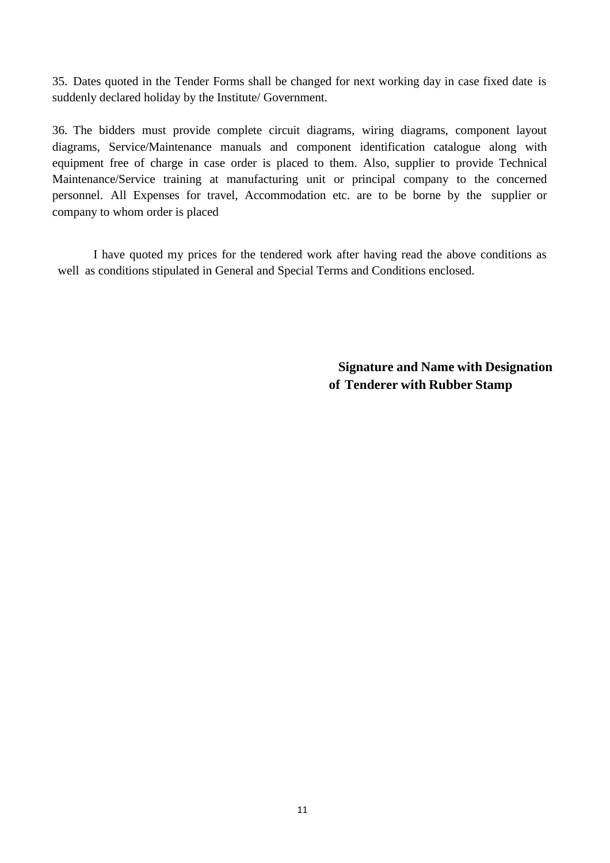35. Dates quoted in the Tender Forms shall be changed for next working day in case fixed date is suddenly declared holiday by the Institute/ Government.

36. The bidders must provide complete circuit diagrams, wiring diagrams, component layout diagrams, Service/Maintenance manuals and component identification catalogue along with equipment free of charge in case order is placed to them. Also, supplier to provide Technical Maintenance/Service training at manufacturing unit or principal company to the concerned personnel. All Expenses for travel, Accommodation etc. are to be borne by the supplier or company to whom order is placed

I have quoted my prices for the tendered work after having read the above conditions as well as conditions stipulated in General and Special Terms and Conditions enclosed.

> **Signature and Name with Designation of Tenderer with Rubber Stamp**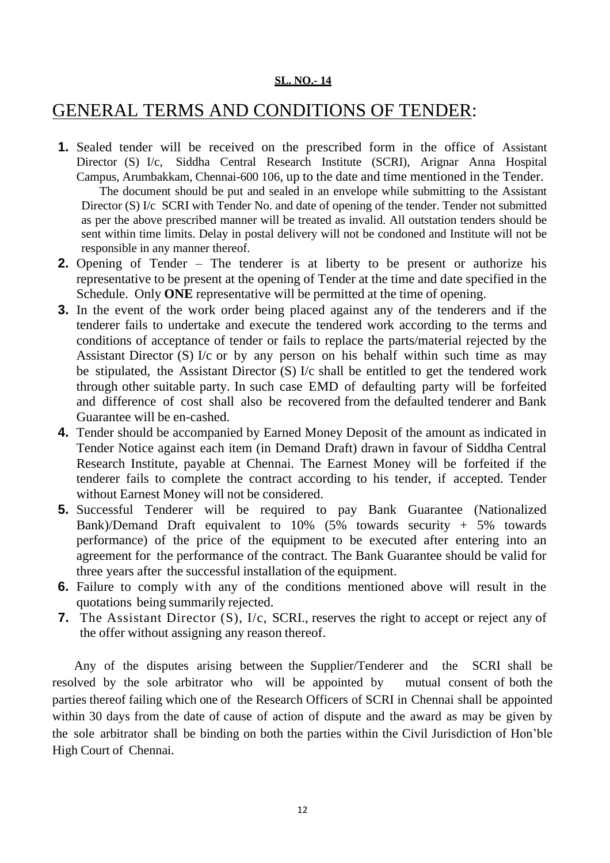#### **SL. NO.- 14**

## GENERAL TERMS AND CONDITIONS OF TENDER:

- **1.** Sealed tender will be received on the prescribed form in the office of Assistant Director (S) I/c, Siddha Central Research Institute (SCRI), Arignar Anna Hospital Campus, Arumbakkam, Chennai-600 106, up to the date and time mentioned in the Tender. The document should be put and sealed in an envelope while submitting to the Assistant Director (S) I/c SCRI with Tender No. and date of opening of the tender. Tender not submitted as per the above prescribed manner will be treated as invalid. All outstation tenders should be sent within time limits. Delay in postal delivery will not be condoned and Institute will not be responsible in any manner thereof.
- **2.** Opening of Tender The tenderer is at liberty to be present or authorize his representative to be present at the opening of Tender at the time and date specified in the Schedule. Only **ONE** representative will be permitted at the time of opening.
- **3.** In the event of the work order being placed against any of the tenderers and if the tenderer fails to undertake and execute the tendered work according to the terms and conditions of acceptance of tender or fails to replace the parts/material rejected by the Assistant Director (S) I/c or by any person on his behalf within such time as may be stipulated, the Assistant Director (S) I/c shall be entitled to get the tendered work through other suitable party. In such case EMD of defaulting party will be forfeited and difference of cost shall also be recovered from the defaulted tenderer and Bank Guarantee will be en-cashed.
- **4.** Tender should be accompanied by Earned Money Deposit of the amount as indicated in Tender Notice against each item (in Demand Draft) drawn in favour of Siddha Central Research Institute, payable at Chennai. The Earnest Money will be forfeited if the tenderer fails to complete the contract according to his tender, if accepted. Tender without Earnest Money will not be considered.
- **5.** Successful Tenderer will be required to pay Bank Guarantee (Nationalized Bank)/Demand Draft equivalent to 10% (5% towards security + 5% towards performance) of the price of the equipment to be executed after entering into an agreement for the performance of the contract. The Bank Guarantee should be valid for three years after the successful installation of the equipment.
- **6.** Failure to comply with any of the conditions mentioned above will result in the quotations being summarily rejected.
- **7.** The Assistant Director (S), I/c, SCRI., reserves the right to accept or reject any of the offer without assigning any reason thereof.

Any of the disputes arising between the Supplier/Tenderer and the SCRI shall be resolved by the sole arbitrator who will be appointed by mutual consent of both the parties thereof failing which one of the Research Officers of SCRI in Chennai shall be appointed within 30 days from the date of cause of action of dispute and the award as may be given by the sole arbitrator shall be binding on both the parties within the Civil Jurisdiction of Hon'ble High Court of Chennai.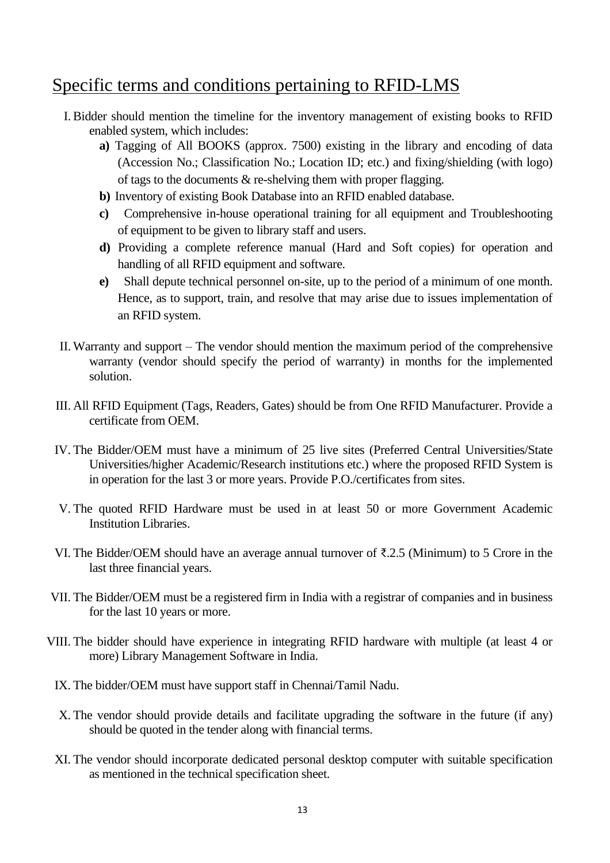## Specific terms and conditions pertaining to RFID-LMS

- I. Bidder should mention the timeline for the inventory management of existing books to RFID enabled system, which includes:
	- **a)** Tagging of All BOOKS (approx. 7500) existing in the library and encoding of data (Accession No.; Classification No.; Location ID; etc.) and fixing/shielding (with logo) of tags to the documents & re-shelving them with proper flagging.
	- **b)** Inventory of existing Book Database into an RFID enabled database.
	- **c)** Comprehensive in-house operational training for all equipment and Troubleshooting of equipment to be given to library staff and users.
	- **d)** Providing a complete reference manual (Hard and Soft copies) for operation and handling of all RFID equipment and software.
	- **e)** Shall depute technical personnel on-site, up to the period of a minimum of one month. Hence, as to support, train, and resolve that may arise due to issues implementation of an RFID system.
- II. Warranty and support The vendor should mention the maximum period of the comprehensive warranty (vendor should specify the period of warranty) in months for the implemented solution.
- III. All RFID Equipment (Tags, Readers, Gates) should be from One RFID Manufacturer. Provide a certificate from OEM.
- IV. The Bidder/OEM must have a minimum of 25 live sites (Preferred Central Universities/State Universities/higher Academic/Research institutions etc.) where the proposed RFID System is in operation for the last 3 or more years. Provide P.O./certificates from sites.
- V. The quoted RFID Hardware must be used in at least 50 or more Government Academic Institution Libraries.
- VI. The Bidder/OEM should have an average annual turnover of ₹.2.5 (Minimum) to 5 Crore in the last three financial years.
- VII. The Bidder/OEM must be a registered firm in India with a registrar of companies and in business for the last 10 years or more.
- VIII. The bidder should have experience in integrating RFID hardware with multiple (at least 4 or more) Library Management Software in India.
	- IX. The bidder/OEM must have support staff in Chennai/Tamil Nadu.
	- X. The vendor should provide details and facilitate upgrading the software in the future (if any) should be quoted in the tender along with financial terms.
	- XI. The vendor should incorporate dedicated personal desktop computer with suitable specification as mentioned in the technical specification sheet.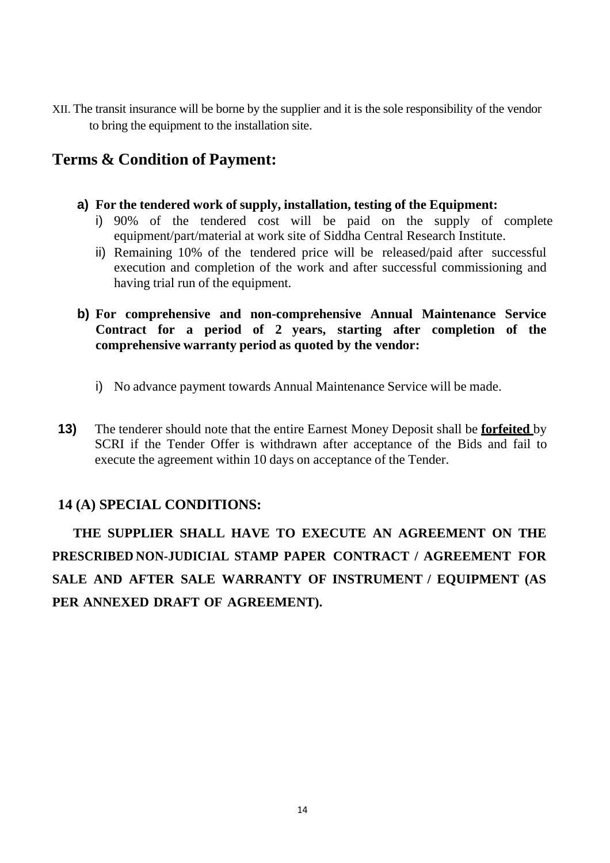XII. The transit insurance will be borne by the supplier and it is the sole responsibility of the vendor to bring the equipment to the installation site.

## **Terms & Condition of Payment:**

- **a) For the tendered work of supply, installation, testing of the Equipment:**
	- i) 90% of the tendered cost will be paid on the supply of complete equipment/part/material at work site of Siddha Central Research Institute.
	- ii) Remaining 10% of the tendered price will be released/paid after successful execution and completion of the work and after successful commissioning and having trial run of the equipment.

### **b) For comprehensive and non-comprehensive Annual Maintenance Service Contract for a period of 2 years, starting after completion of the comprehensive warranty period as quoted by the vendor:**

- i) No advance payment towards Annual Maintenance Service will be made.
- **13)** The tenderer should note that the entire Earnest Money Deposit shall be **forfeited** by SCRI if the Tender Offer is withdrawn after acceptance of the Bids and fail to execute the agreement within 10 days on acceptance of the Tender.

## **14 (A) SPECIAL CONDITIONS:**

**THE SUPPLIER SHALL HAVE TO EXECUTE AN AGREEMENT ON THE PRESCRIBED NON-JUDICIAL STAMP PAPER CONTRACT / AGREEMENT FOR SALE AND AFTER SALE WARRANTY OF INSTRUMENT / EQUIPMENT (AS PER ANNEXED DRAFT OF AGREEMENT).**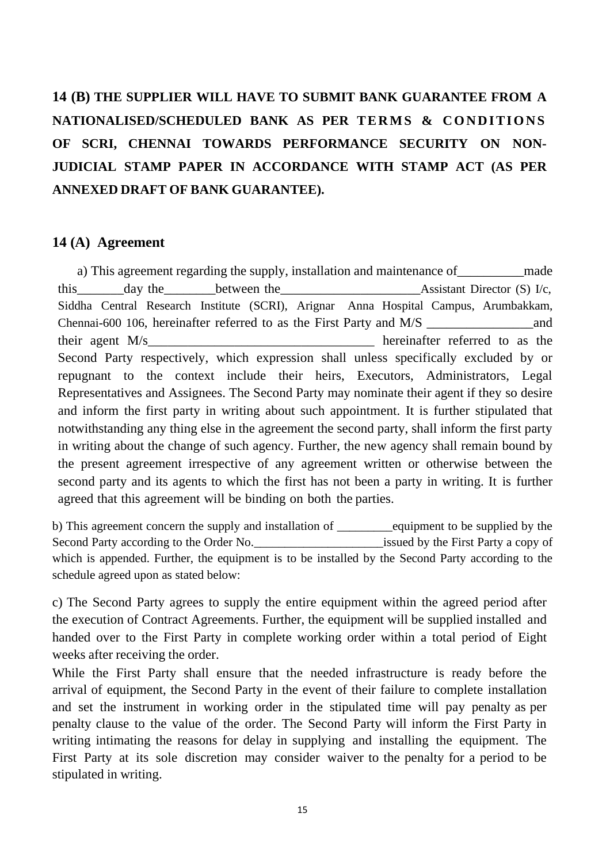# **14 (B) THE SUPPLIER WILL HAVE TO SUBMIT BANK GUARANTEE FROM A NATIONALISED/SCHEDULED BANK AS PER TERMS & CONDITIONS OF SCRI, CHENNAI TOWARDS PERFORMANCE SECURITY ON NON-JUDICIAL STAMP PAPER IN ACCORDANCE WITH STAMP ACT (AS PER ANNEXED DRAFT OF BANK GUARANTEE).**

#### **14 (A) Agreement**

a) This agreement regarding the supply, installation and maintenance of\_\_\_\_\_\_\_\_\_\_made this day the between the Assistant Director (S) I/c, Siddha Central Research Institute (SCRI), Arignar Anna Hospital Campus, Arumbakkam, Chennai-600 106, hereinafter referred to as the First Party and M/S \_\_\_\_\_\_\_\_\_\_\_\_\_\_\_\_and their agent M/s\_\_\_\_\_\_\_\_\_\_\_\_\_\_\_\_\_\_\_\_\_\_\_\_\_\_\_\_\_\_\_\_\_\_ hereinafter referred to as the Second Party respectively, which expression shall unless specifically excluded by or repugnant to the context include their heirs, Executors, Administrators, Legal Representatives and Assignees. The Second Party may nominate their agent if they so desire and inform the first party in writing about such appointment. It is further stipulated that notwithstanding any thing else in the agreement the second party, shall inform the first party in writing about the change of such agency. Further, the new agency shall remain bound by the present agreement irrespective of any agreement written or otherwise between the second party and its agents to which the first has not been a party in writing. It is further agreed that this agreement will be binding on both the parties.

b) This agreement concern the supply and installation of \_\_\_\_\_\_\_\_\_equipment to be supplied by the Second Party according to the Order No.\_\_\_\_\_\_\_\_\_\_\_\_\_\_\_\_\_\_\_\_\_issued by the First Party a copy of which is appended. Further, the equipment is to be installed by the Second Party according to the schedule agreed upon as stated below:

c) The Second Party agrees to supply the entire equipment within the agreed period after the execution of Contract Agreements. Further, the equipment will be supplied installed and handed over to the First Party in complete working order within a total period of Eight weeks after receiving the order.

While the First Party shall ensure that the needed infrastructure is ready before the arrival of equipment, the Second Party in the event of their failure to complete installation and set the instrument in working order in the stipulated time will pay penalty as per penalty clause to the value of the order. The Second Party will inform the First Party in writing intimating the reasons for delay in supplying and installing the equipment. The First Party at its sole discretion may consider waiver to the penalty for a period to be stipulated in writing.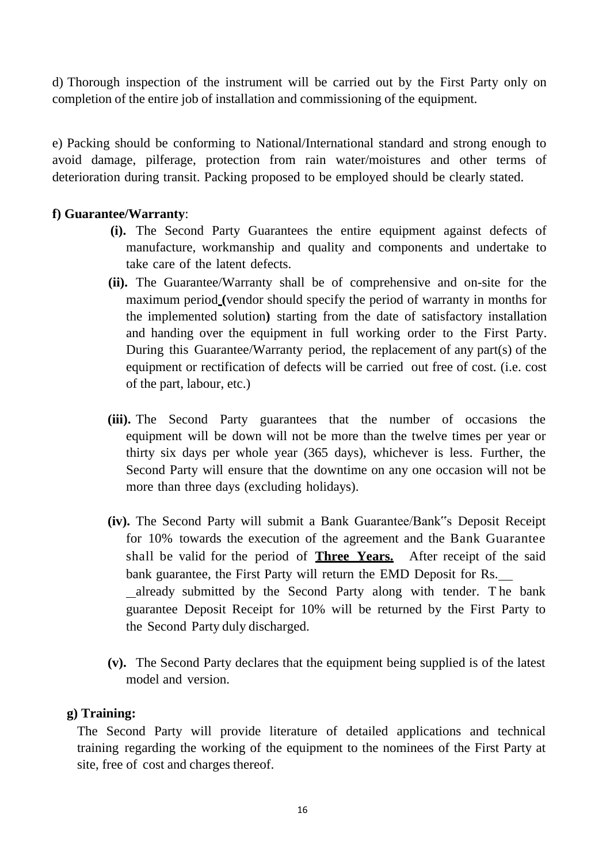d) Thorough inspection of the instrument will be carried out by the First Party only on completion of the entire job of installation and commissioning of the equipment.

e) Packing should be conforming to National/International standard and strong enough to avoid damage, pilferage, protection from rain water/moistures and other terms of deterioration during transit. Packing proposed to be employed should be clearly stated.

#### **f) Guarantee/Warranty**:

- **(i).** The Second Party Guarantees the entire equipment against defects of manufacture, workmanship and quality and components and undertake to take care of the latent defects.
- **(ii).** The Guarantee/Warranty shall be of comprehensive and on-site for the maximum period **(**vendor should specify the period of warranty in months for the implemented solution**)** starting from the date of satisfactory installation and handing over the equipment in full working order to the First Party. During this Guarantee/Warranty period, the replacement of any part(s) of the equipment or rectification of defects will be carried out free of cost. (i.e. cost of the part, labour, etc.)
- **(iii).** The Second Party guarantees that the number of occasions the equipment will be down will not be more than the twelve times per year or thirty six days per whole year (365 days), whichever is less. Further, the Second Party will ensure that the downtime on any one occasion will not be more than three days (excluding holidays).
- **(iv).** The Second Party will submit a Bank Guarantee/Bank"s Deposit Receipt for 10% towards the execution of the agreement and the Bank Guarantee shall be valid for the period of **Three Years.** After receipt of the said bank guarantee, the First Party will return the EMD Deposit for Rs. already submitted by the Second Party along with tender. T he bank guarantee Deposit Receipt for 10% will be returned by the First Party to the Second Party duly discharged.
- **(v).** The Second Party declares that the equipment being supplied is of the latest model and version.

#### **g) Training:**

The Second Party will provide literature of detailed applications and technical training regarding the working of the equipment to the nominees of the First Party at site, free of cost and charges thereof.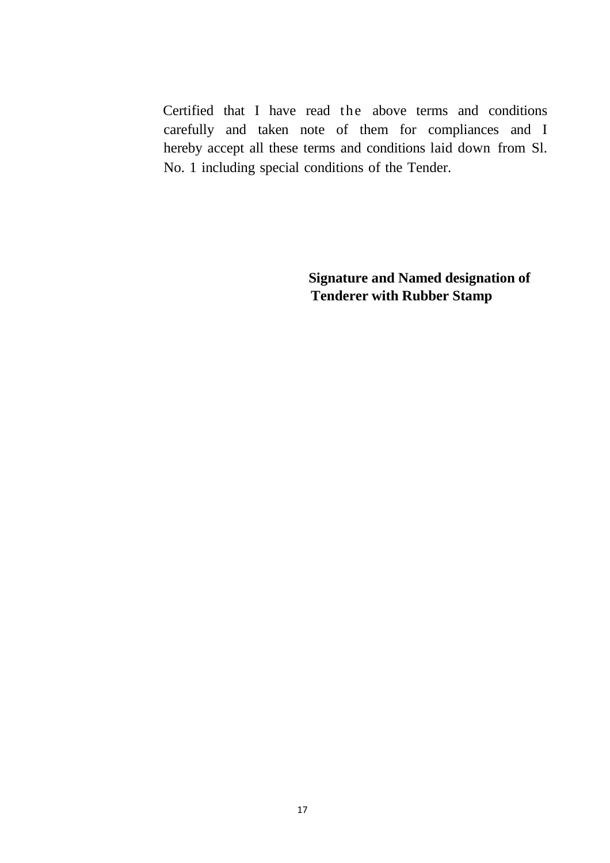Certified that I have read the above terms and conditions carefully and taken note of them for compliances and I hereby accept all these terms and conditions laid down from Sl. No. 1 including special conditions of the Tender.

> **Signature and Named designation of Tenderer with Rubber Stamp**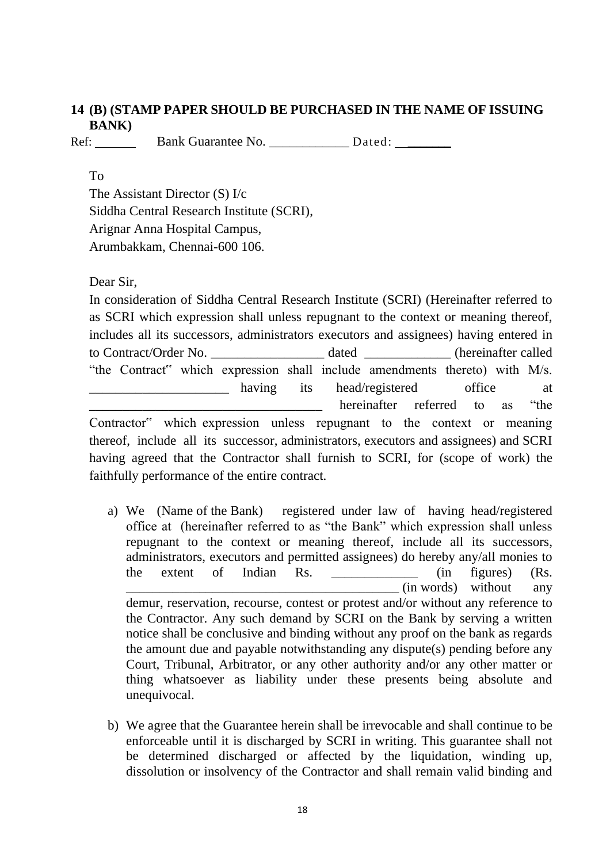### **14 (B) (STAMP PAPER SHOULD BE PURCHASED IN THE NAME OF ISSUING BANK)**

Ref: Bank Guarantee No. Dated:

To

The Assistant Director (S) I/c Siddha Central Research Institute (SCRI), Arignar Anna Hospital Campus, Arumbakkam, Chennai-600 106.

Dear Sir,

In consideration of Siddha Central Research Institute (SCRI) (Hereinafter referred to as SCRI which expression shall unless repugnant to the context or meaning thereof, includes all its successors, administrators executors and assignees) having entered in to Contract/Order No. \_\_\_\_\_\_\_\_\_\_\_\_\_\_\_\_\_ dated \_\_\_\_\_\_\_\_\_\_\_\_\_ (hereinafter called "the Contract" which expression shall include amendments thereto) with M/s. having its head/registered office at hereinafter referred to as "the Contractor" which expression unless repugnant to the context or meaning thereof, include all its successor, administrators, executors and assignees) and SCRI having agreed that the Contractor shall furnish to SCRI, for (scope of work) the faithfully performance of the entire contract.

- a) We (Name of the Bank) registered under law of having head/registered office at (hereinafter referred to as "the Bank" which expression shall unless repugnant to the context or meaning thereof, include all its successors, administrators, executors and permitted assignees) do hereby any/all monies to the extent of Indian Rs. \_\_\_\_\_\_\_\_\_\_\_\_\_ (in figures) (Rs. \_\_\_\_\_\_\_\_\_\_\_\_\_\_\_\_\_\_\_\_\_\_\_\_\_\_\_\_\_\_\_\_\_\_\_\_\_\_\_\_\_ (in words) without any demur, reservation, recourse, contest or protest and/or without any reference to the Contractor. Any such demand by SCRI on the Bank by serving a written notice shall be conclusive and binding without any proof on the bank as regards the amount due and payable notwithstanding any dispute(s) pending before any Court, Tribunal, Arbitrator, or any other authority and/or any other matter or thing whatsoever as liability under these presents being absolute and unequivocal.
- b) We agree that the Guarantee herein shall be irrevocable and shall continue to be enforceable until it is discharged by SCRI in writing. This guarantee shall not be determined discharged or affected by the liquidation, winding up, dissolution or insolvency of the Contractor and shall remain valid binding and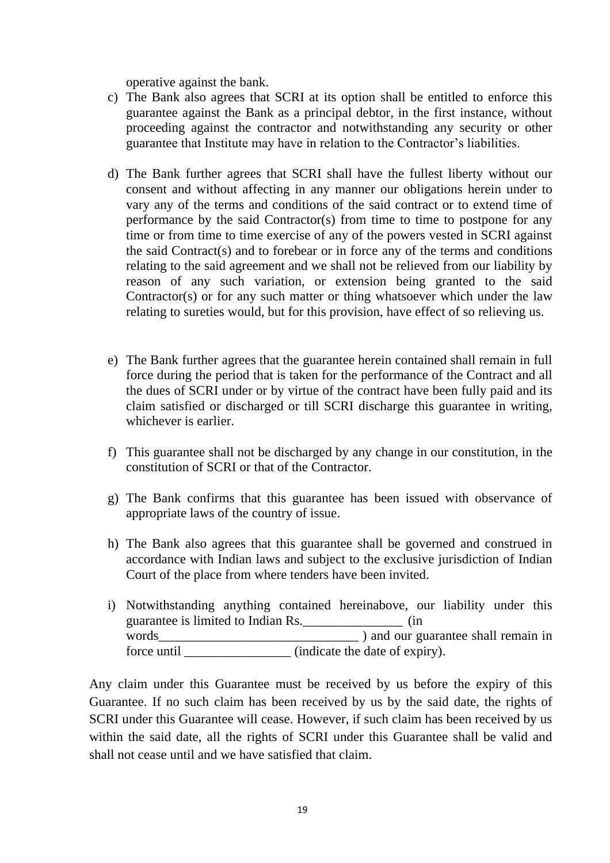operative against the bank.

- c) The Bank also agrees that SCRI at its option shall be entitled to enforce this guarantee against the Bank as a principal debtor, in the first instance, without proceeding against the contractor and notwithstanding any security or other guarantee that Institute may have in relation to the Contractor's liabilities.
- d) The Bank further agrees that SCRI shall have the fullest liberty without our consent and without affecting in any manner our obligations herein under to vary any of the terms and conditions of the said contract or to extend time of performance by the said Contractor(s) from time to time to postpone for any time or from time to time exercise of any of the powers vested in SCRI against the said Contract(s) and to forebear or in force any of the terms and conditions relating to the said agreement and we shall not be relieved from our liability by reason of any such variation, or extension being granted to the said Contractor(s) or for any such matter or thing whatsoever which under the law relating to sureties would, but for this provision, have effect of so relieving us.
- e) The Bank further agrees that the guarantee herein contained shall remain in full force during the period that is taken for the performance of the Contract and all the dues of SCRI under or by virtue of the contract have been fully paid and its claim satisfied or discharged or till SCRI discharge this guarantee in writing, whichever is earlier.
- f) This guarantee shall not be discharged by any change in our constitution, in the constitution of SCRI or that of the Contractor.
- g) The Bank confirms that this guarantee has been issued with observance of appropriate laws of the country of issue.
- h) The Bank also agrees that this guarantee shall be governed and construed in accordance with Indian laws and subject to the exclusive jurisdiction of Indian Court of the place from where tenders have been invited.
- i) Notwithstanding anything contained hereinabove, our liability under this guarantee is limited to Indian Rs.\_\_\_\_\_\_\_\_\_\_\_\_\_\_\_ (in words and our guarantee shall remain in force until \_\_\_\_\_\_\_\_\_\_\_\_\_\_\_\_ (indicate the date of expiry).

Any claim under this Guarantee must be received by us before the expiry of this Guarantee. If no such claim has been received by us by the said date, the rights of SCRI under this Guarantee will cease. However, if such claim has been received by us within the said date, all the rights of SCRI under this Guarantee shall be valid and shall not cease until and we have satisfied that claim.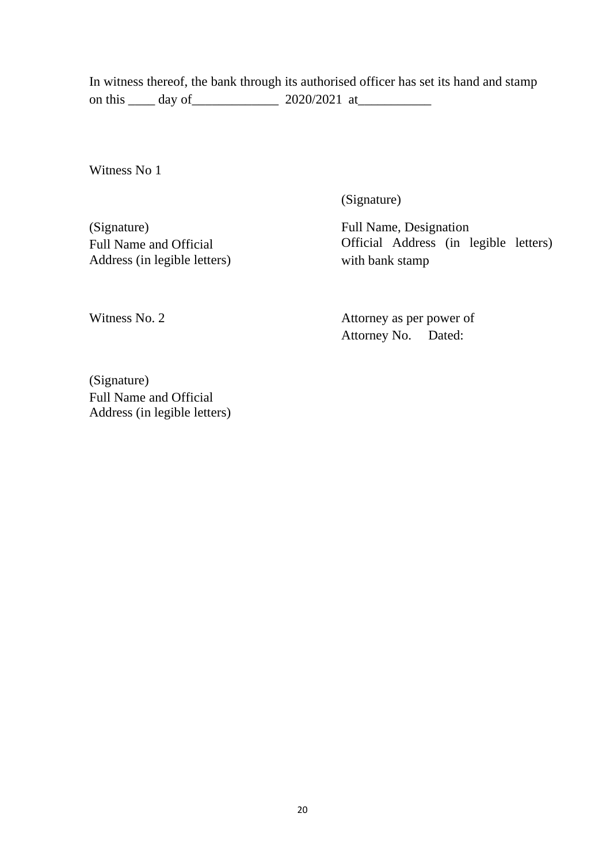### In witness thereof, the bank through its authorised officer has set its hand and stamp on this  $\frac{day \text{ of } 2020/2021 \text{ at } 2000}{x^{1/20}}$

Witness No 1

(Signature)

(Signature) Full Name and Official Address (in legible letters)

Full Name, Designation Official Address (in legible letters) with bank stamp

Witness No. 2 **Attorney as per power of** Attorney No. Dated:

(Signature) Full Name and Official Address (in legible letters)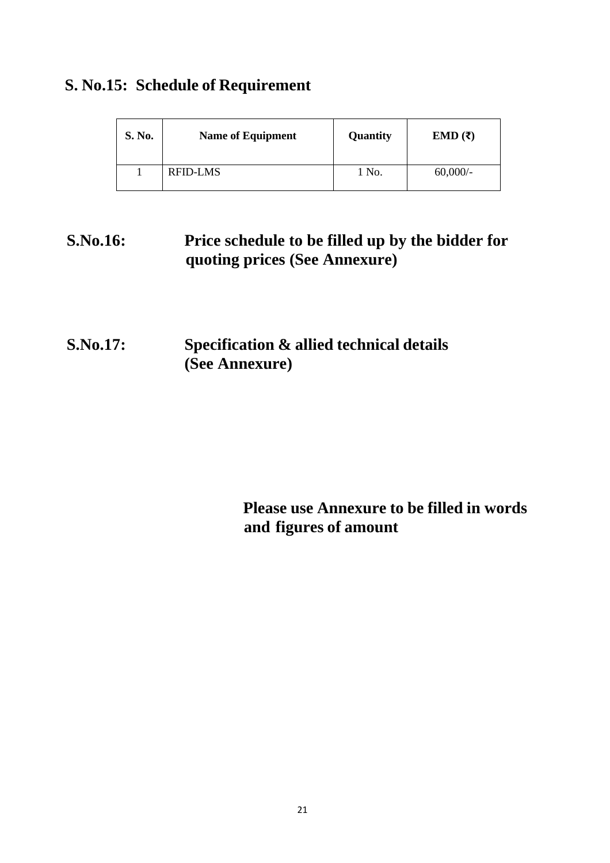## **S. No.15: Schedule of Requirement**

| S. No. | <b>Name of Equipment</b> | Quantity | EMD $(\bar{\zeta})$ |
|--------|--------------------------|----------|---------------------|
|        | RFID-LMS                 | 1 No.    | $60,000/$ -         |

## **S.No.16: Price schedule to be filled up by the bidder for quoting prices (See Annexure)**

## **S.No.17: Specification & allied technical details (See Annexure)**

**Please use Annexure to be filled in words and figures of amount**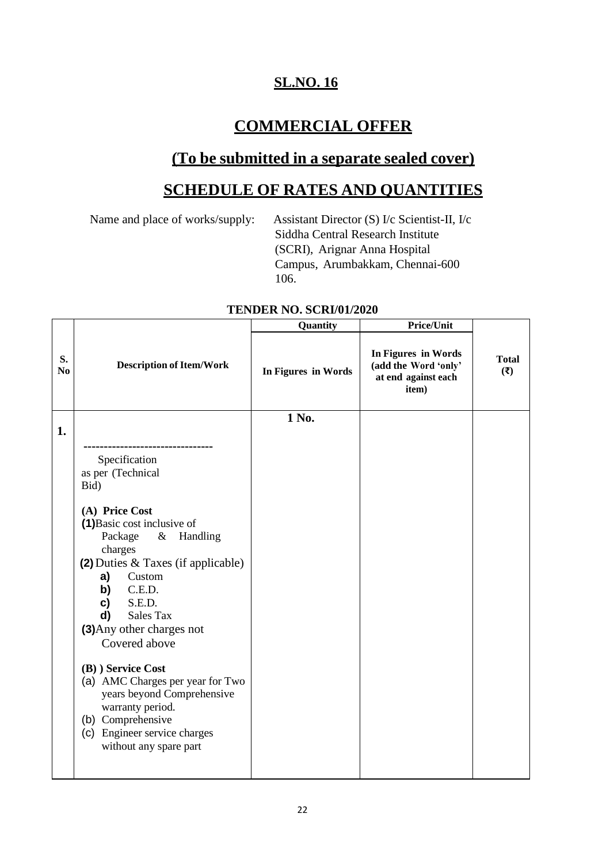## **SL.NO. 16**

## **COMMERCIAL OFFER**

# **(To be submitted in a separate sealed cover)**

## **SCHEDULE OF RATES AND QUANTITIES**

Name and place of works/supply: Assistant Director (S) I/c Scientist-II, I/c Siddha Central Research Institute (SCRI), Arignar Anna Hospital Campus, Arumbakkam, Chennai-600 106.

|                      |                                                                                                                                                                                                                                                                                                                                                                           | Quantity            | <b>Price/Unit</b>                                                           |                     |
|----------------------|---------------------------------------------------------------------------------------------------------------------------------------------------------------------------------------------------------------------------------------------------------------------------------------------------------------------------------------------------------------------------|---------------------|-----------------------------------------------------------------------------|---------------------|
| S.<br>N <sub>0</sub> | <b>Description of Item/Work</b>                                                                                                                                                                                                                                                                                                                                           | In Figures in Words | In Figures in Words<br>(add the Word 'only'<br>at end against each<br>item) | <b>Total</b><br>(3) |
|                      |                                                                                                                                                                                                                                                                                                                                                                           | 1 No.               |                                                                             |                     |
| 1.                   |                                                                                                                                                                                                                                                                                                                                                                           |                     |                                                                             |                     |
|                      | Specification<br>as per (Technical<br>Bid)                                                                                                                                                                                                                                                                                                                                |                     |                                                                             |                     |
|                      | (A) Price Cost<br>(1) Basic cost inclusive of<br>Package<br>& Handling<br>charges<br>(2) Duties & Taxes (if applicable)<br>Custom<br>a)<br>C.E.D.<br>b)<br>S.E.D.<br>c)<br>Sales Tax<br>d)<br>(3) Any other charges not<br>Covered above<br>(B) ) Service Cost<br>(a) AMC Charges per year for Two<br>years beyond Comprehensive<br>warranty period.<br>(b) Comprehensive |                     |                                                                             |                     |
|                      | (c) Engineer service charges<br>without any spare part                                                                                                                                                                                                                                                                                                                    |                     |                                                                             |                     |

#### **TENDER NO. SCRI/01/2020**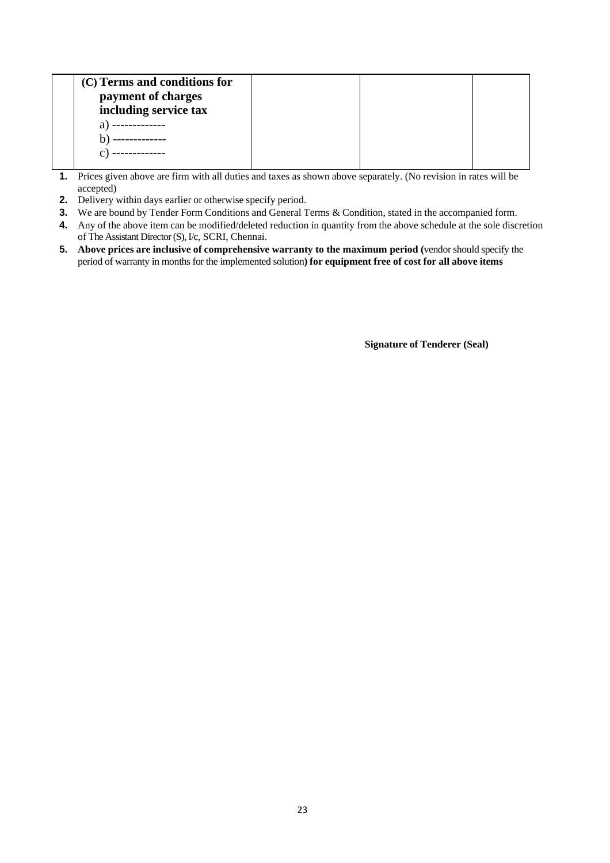| (C) Terms and conditions for |  |  |
|------------------------------|--|--|
| payment of charges           |  |  |
| including service tax        |  |  |
|                              |  |  |
|                              |  |  |
|                              |  |  |

- **1.** Prices given above are firm with all duties and taxes as shown above separately. (No revision in rates will be accepted)
- **2.** Delivery within days earlier or otherwise specify period.
- **3.** We are bound by Tender Form Conditions and General Terms & Condition, stated in the accompanied form.
- **4.** Any of the above item can be modified/deleted reduction in quantity from the above schedule at the sole discretion of The Assistant Director (S), I/c, SCRI, Chennai.
- **5. Above prices are inclusive of comprehensive warranty to the maximum period (**vendor should specify the period of warranty in months for the implemented solution**) for equipment free of cost for all above items**

**Signature of Tenderer (Seal)**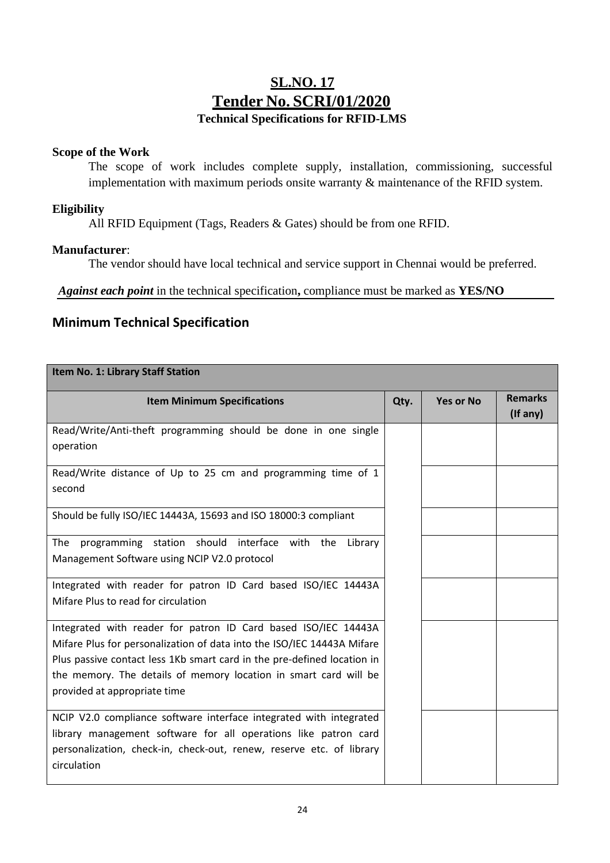## **SL.NO. 17 Tender No. SCRI/01/2020 Technical Specifications for RFID-LMS**

#### **Scope of the Work**

The scope of work includes complete supply, installation, commissioning, successful implementation with maximum periods onsite warranty & maintenance of the RFID system.

#### **Eligibility**

All RFID Equipment (Tags, Readers & Gates) should be from one RFID.

#### **Manufacturer**:

The vendor should have local technical and service support in Chennai would be preferred.

*Against each point* in the technical specification**,** compliance must be marked as **YES/NO**

### **Minimum Technical Specification**

| Item No. 1: Library Staff Station                                                                                                                                                                                                                                                                                       |      |                  |                            |
|-------------------------------------------------------------------------------------------------------------------------------------------------------------------------------------------------------------------------------------------------------------------------------------------------------------------------|------|------------------|----------------------------|
| <b>Item Minimum Specifications</b>                                                                                                                                                                                                                                                                                      | Qty. | <b>Yes or No</b> | <b>Remarks</b><br>(If any) |
| Read/Write/Anti-theft programming should be done in one single<br>operation                                                                                                                                                                                                                                             |      |                  |                            |
| Read/Write distance of Up to 25 cm and programming time of 1<br>second                                                                                                                                                                                                                                                  |      |                  |                            |
| Should be fully ISO/IEC 14443A, 15693 and ISO 18000:3 compliant                                                                                                                                                                                                                                                         |      |                  |                            |
| programming station should interface with the Library<br>The<br>Management Software using NCIP V2.0 protocol                                                                                                                                                                                                            |      |                  |                            |
| Integrated with reader for patron ID Card based ISO/IEC 14443A<br>Mifare Plus to read for circulation                                                                                                                                                                                                                   |      |                  |                            |
| Integrated with reader for patron ID Card based ISO/IEC 14443A<br>Mifare Plus for personalization of data into the ISO/IEC 14443A Mifare<br>Plus passive contact less 1Kb smart card in the pre-defined location in<br>the memory. The details of memory location in smart card will be<br>provided at appropriate time |      |                  |                            |
| NCIP V2.0 compliance software interface integrated with integrated<br>library management software for all operations like patron card<br>personalization, check-in, check-out, renew, reserve etc. of library<br>circulation                                                                                            |      |                  |                            |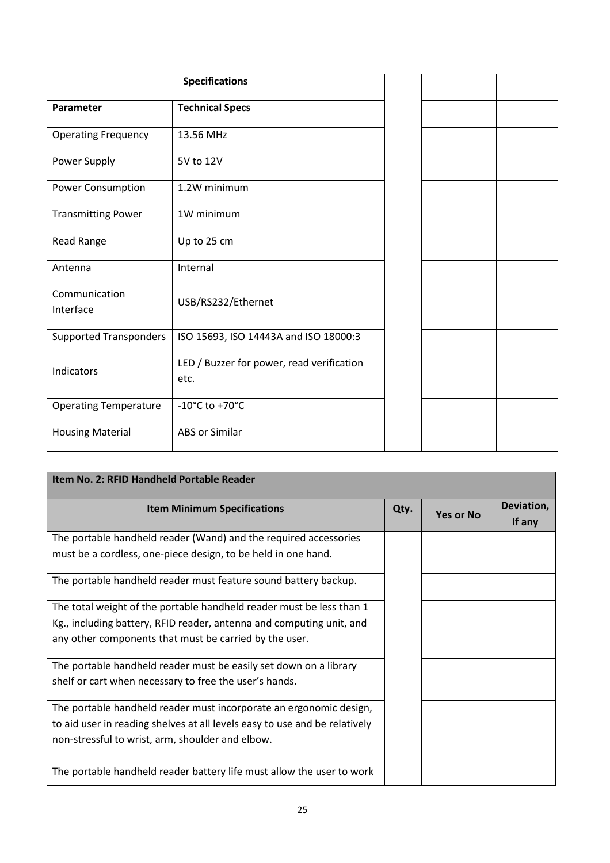|                               | <b>Specifications</b>                             |  |  |
|-------------------------------|---------------------------------------------------|--|--|
| Parameter                     | <b>Technical Specs</b>                            |  |  |
| <b>Operating Frequency</b>    | 13.56 MHz                                         |  |  |
| Power Supply                  | 5V to 12V                                         |  |  |
| Power Consumption             | 1.2W minimum                                      |  |  |
| <b>Transmitting Power</b>     | 1W minimum                                        |  |  |
| Read Range                    | Up to 25 cm                                       |  |  |
| Antenna                       | Internal                                          |  |  |
| Communication<br>Interface    | USB/RS232/Ethernet                                |  |  |
| <b>Supported Transponders</b> | ISO 15693, ISO 14443A and ISO 18000:3             |  |  |
| Indicators                    | LED / Buzzer for power, read verification<br>etc. |  |  |
| <b>Operating Temperature</b>  | -10 $^{\circ}$ C to +70 $^{\circ}$ C              |  |  |
| <b>Housing Material</b>       | <b>ABS or Similar</b>                             |  |  |

| Item No. 2: RFID Handheld Portable Reader                                  |      |                  |                      |  |
|----------------------------------------------------------------------------|------|------------------|----------------------|--|
| <b>Item Minimum Specifications</b>                                         | Qty. | <b>Yes or No</b> | Deviation,<br>If any |  |
| The portable handheld reader (Wand) and the required accessories           |      |                  |                      |  |
| must be a cordless, one-piece design, to be held in one hand.              |      |                  |                      |  |
| The portable handheld reader must feature sound battery backup.            |      |                  |                      |  |
| The total weight of the portable handheld reader must be less than 1       |      |                  |                      |  |
| Kg., including battery, RFID reader, antenna and computing unit, and       |      |                  |                      |  |
| any other components that must be carried by the user.                     |      |                  |                      |  |
| The portable handheld reader must be easily set down on a library          |      |                  |                      |  |
| shelf or cart when necessary to free the user's hands.                     |      |                  |                      |  |
| The portable handheld reader must incorporate an ergonomic design,         |      |                  |                      |  |
| to aid user in reading shelves at all levels easy to use and be relatively |      |                  |                      |  |
| non-stressful to wrist, arm, shoulder and elbow.                           |      |                  |                      |  |
| The portable handheld reader battery life must allow the user to work      |      |                  |                      |  |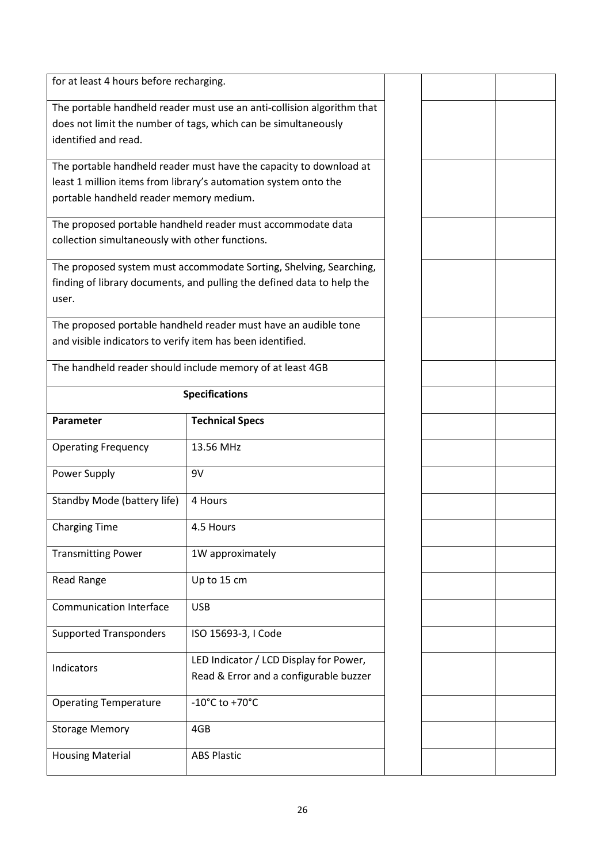| for at least 4 hours before recharging.                    |                                                                        |  |  |
|------------------------------------------------------------|------------------------------------------------------------------------|--|--|
|                                                            | The portable handheld reader must use an anti-collision algorithm that |  |  |
|                                                            | does not limit the number of tags, which can be simultaneously         |  |  |
| identified and read.                                       |                                                                        |  |  |
|                                                            |                                                                        |  |  |
|                                                            | The portable handheld reader must have the capacity to download at     |  |  |
|                                                            | least 1 million items from library's automation system onto the        |  |  |
| portable handheld reader memory medium.                    |                                                                        |  |  |
|                                                            | The proposed portable handheld reader must accommodate data            |  |  |
| collection simultaneously with other functions.            |                                                                        |  |  |
|                                                            | The proposed system must accommodate Sorting, Shelving, Searching,     |  |  |
|                                                            | finding of library documents, and pulling the defined data to help the |  |  |
| user.                                                      |                                                                        |  |  |
|                                                            |                                                                        |  |  |
|                                                            | The proposed portable handheld reader must have an audible tone        |  |  |
| and visible indicators to verify item has been identified. |                                                                        |  |  |
|                                                            | The handheld reader should include memory of at least 4GB              |  |  |
|                                                            |                                                                        |  |  |
|                                                            | <b>Specifications</b>                                                  |  |  |
| Parameter                                                  | <b>Technical Specs</b>                                                 |  |  |
| <b>Operating Frequency</b>                                 | 13.56 MHz                                                              |  |  |
| Power Supply                                               | 9V                                                                     |  |  |
| Standby Mode (battery life)                                | 4 Hours                                                                |  |  |
|                                                            |                                                                        |  |  |
| <b>Charging Time</b>                                       | 4.5 Hours                                                              |  |  |
| <b>Transmitting Power</b>                                  | 1W approximately                                                       |  |  |
|                                                            |                                                                        |  |  |
| <b>Read Range</b>                                          | Up to 15 cm                                                            |  |  |
| <b>Communication Interface</b>                             | <b>USB</b>                                                             |  |  |
| <b>Supported Transponders</b>                              | ISO 15693-3, I Code                                                    |  |  |
|                                                            | LED Indicator / LCD Display for Power,                                 |  |  |
| Indicators                                                 | Read & Error and a configurable buzzer                                 |  |  |
|                                                            |                                                                        |  |  |
| <b>Operating Temperature</b>                               | -10 $^{\circ}$ C to +70 $^{\circ}$ C                                   |  |  |
| <b>Storage Memory</b>                                      | 4GB                                                                    |  |  |
|                                                            |                                                                        |  |  |
| <b>Housing Material</b>                                    | <b>ABS Plastic</b>                                                     |  |  |
|                                                            |                                                                        |  |  |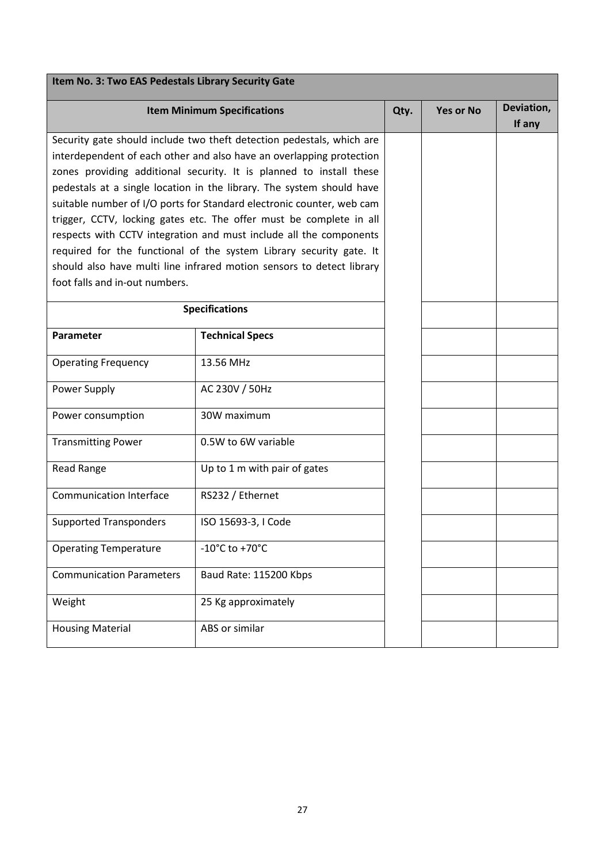| Item No. 3: Two EAS Pedestals Library Security Gate |                                                                       |      |                  |                      |
|-----------------------------------------------------|-----------------------------------------------------------------------|------|------------------|----------------------|
|                                                     | <b>Item Minimum Specifications</b>                                    | Qty. | <b>Yes or No</b> | Deviation,<br>If any |
|                                                     | Security gate should include two theft detection pedestals, which are |      |                  |                      |
|                                                     | interdependent of each other and also have an overlapping protection  |      |                  |                      |
|                                                     | zones providing additional security. It is planned to install these   |      |                  |                      |
|                                                     | pedestals at a single location in the library. The system should have |      |                  |                      |
|                                                     | suitable number of I/O ports for Standard electronic counter, web cam |      |                  |                      |
|                                                     | trigger, CCTV, locking gates etc. The offer must be complete in all   |      |                  |                      |
|                                                     | respects with CCTV integration and must include all the components    |      |                  |                      |
|                                                     | required for the functional of the system Library security gate. It   |      |                  |                      |
|                                                     | should also have multi line infrared motion sensors to detect library |      |                  |                      |
| foot falls and in-out numbers.                      |                                                                       |      |                  |                      |
|                                                     | <b>Specifications</b>                                                 |      |                  |                      |
| Parameter                                           | <b>Technical Specs</b>                                                |      |                  |                      |
| <b>Operating Frequency</b>                          | 13.56 MHz                                                             |      |                  |                      |
| Power Supply                                        | AC 230V / 50Hz                                                        |      |                  |                      |
| Power consumption                                   | 30W maximum                                                           |      |                  |                      |
| <b>Transmitting Power</b>                           | 0.5W to 6W variable                                                   |      |                  |                      |
| Read Range                                          | Up to 1 m with pair of gates                                          |      |                  |                      |
| <b>Communication Interface</b>                      | RS232 / Ethernet                                                      |      |                  |                      |
| <b>Supported Transponders</b>                       | ISO 15693-3, I Code                                                   |      |                  |                      |
| <b>Operating Temperature</b>                        | -10°C to +70°C                                                        |      |                  |                      |
| <b>Communication Parameters</b>                     | Baud Rate: 115200 Kbps                                                |      |                  |                      |
| Weight                                              | 25 Kg approximately                                                   |      |                  |                      |
| <b>Housing Material</b>                             | ABS or similar                                                        |      |                  |                      |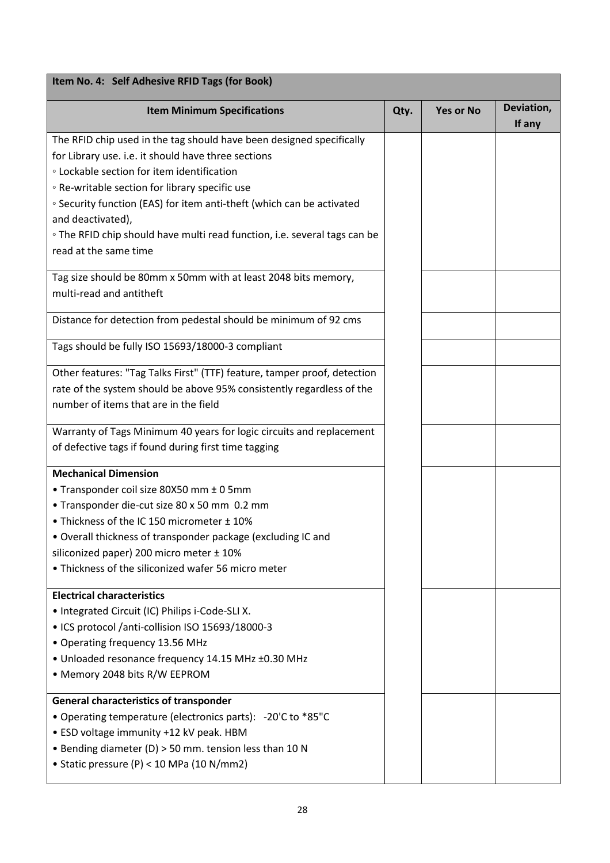| Item No. 4: Self Adhesive RFID Tags (for Book)                                   |      |                  |                      |
|----------------------------------------------------------------------------------|------|------------------|----------------------|
| <b>Item Minimum Specifications</b>                                               | Qty. | <b>Yes or No</b> | Deviation,<br>If any |
| The RFID chip used in the tag should have been designed specifically             |      |                  |                      |
| for Library use. i.e. it should have three sections                              |      |                  |                      |
| <b>.</b> Lockable section for item identification                                |      |                  |                      |
| <sup>o</sup> Re-writable section for library specific use                        |      |                  |                      |
| <sup>o</sup> Security function (EAS) for item anti-theft (which can be activated |      |                  |                      |
| and deactivated),                                                                |      |                  |                      |
| • The RFID chip should have multi read function, i.e. several tags can be        |      |                  |                      |
| read at the same time                                                            |      |                  |                      |
| Tag size should be 80mm x 50mm with at least 2048 bits memory,                   |      |                  |                      |
| multi-read and antitheft                                                         |      |                  |                      |
| Distance for detection from pedestal should be minimum of 92 cms                 |      |                  |                      |
|                                                                                  |      |                  |                      |
| Tags should be fully ISO 15693/18000-3 compliant                                 |      |                  |                      |
| Other features: "Tag Talks First" (TTF) feature, tamper proof, detection         |      |                  |                      |
| rate of the system should be above 95% consistently regardless of the            |      |                  |                      |
| number of items that are in the field                                            |      |                  |                      |
| Warranty of Tags Minimum 40 years for logic circuits and replacement             |      |                  |                      |
| of defective tags if found during first time tagging                             |      |                  |                      |
| <b>Mechanical Dimension</b>                                                      |      |                  |                      |
| • Transponder coil size 80X50 mm ± 0 5mm                                         |      |                  |                      |
| • Transponder die-cut size 80 x 50 mm 0.2 mm                                     |      |                  |                      |
| • Thickness of the IC 150 micrometer ± 10%                                       |      |                  |                      |
| . Overall thickness of transponder package (excluding IC and                     |      |                  |                      |
| siliconized paper) 200 micro meter ± 10%                                         |      |                  |                      |
| • Thickness of the siliconized wafer 56 micro meter                              |      |                  |                      |
| <b>Electrical characteristics</b>                                                |      |                  |                      |
| • Integrated Circuit (IC) Philips i-Code-SLI X.                                  |      |                  |                      |
| • ICS protocol /anti-collision ISO 15693/18000-3                                 |      |                  |                      |
| • Operating frequency 13.56 MHz                                                  |      |                  |                      |
| • Unloaded resonance frequency 14.15 MHz ±0.30 MHz                               |      |                  |                      |
| • Memory 2048 bits R/W EEPROM                                                    |      |                  |                      |
| <b>General characteristics of transponder</b>                                    |      |                  |                      |
| • Operating temperature (electronics parts): -20'C to *85"C                      |      |                  |                      |
| • ESD voltage immunity +12 kV peak. HBM                                          |      |                  |                      |
| • Bending diameter (D) > 50 mm. tension less than 10 N                           |      |                  |                      |
| • Static pressure (P) < 10 MPa (10 N/mm2)                                        |      |                  |                      |
|                                                                                  |      |                  |                      |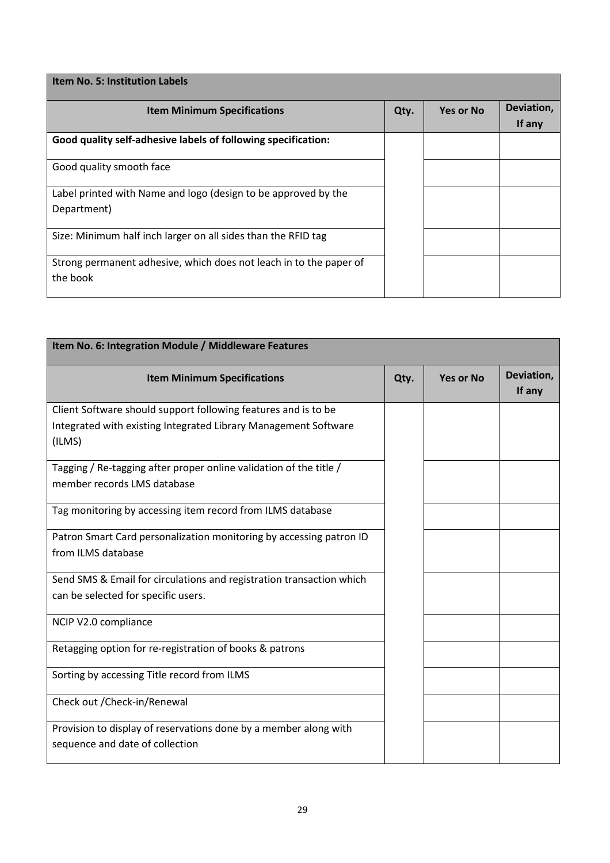| <b>Item No. 5: Institution Labels</b>                                          |      |                  |                      |  |
|--------------------------------------------------------------------------------|------|------------------|----------------------|--|
| <b>Item Minimum Specifications</b>                                             | Qty. | <b>Yes or No</b> | Deviation,<br>If any |  |
| Good quality self-adhesive labels of following specification:                  |      |                  |                      |  |
| Good quality smooth face                                                       |      |                  |                      |  |
| Label printed with Name and logo (design to be approved by the<br>Department)  |      |                  |                      |  |
| Size: Minimum half inch larger on all sides than the RFID tag                  |      |                  |                      |  |
| Strong permanent adhesive, which does not leach in to the paper of<br>the book |      |                  |                      |  |

| Item No. 6: Integration Module / Middleware Features                 |      |                  |                      |
|----------------------------------------------------------------------|------|------------------|----------------------|
| <b>Item Minimum Specifications</b>                                   | Qty. | <b>Yes or No</b> | Deviation,<br>If any |
| Client Software should support following features and is to be       |      |                  |                      |
| Integrated with existing Integrated Library Management Software      |      |                  |                      |
| (ILMS)                                                               |      |                  |                      |
| Tagging / Re-tagging after proper online validation of the title /   |      |                  |                      |
| member records LMS database                                          |      |                  |                      |
| Tag monitoring by accessing item record from ILMS database           |      |                  |                      |
| Patron Smart Card personalization monitoring by accessing patron ID  |      |                  |                      |
| from ILMS database                                                   |      |                  |                      |
| Send SMS & Email for circulations and registration transaction which |      |                  |                      |
| can be selected for specific users.                                  |      |                  |                      |
| NCIP V2.0 compliance                                                 |      |                  |                      |
| Retagging option for re-registration of books & patrons              |      |                  |                      |
| Sorting by accessing Title record from ILMS                          |      |                  |                      |
| Check out / Check-in/Renewal                                         |      |                  |                      |
| Provision to display of reservations done by a member along with     |      |                  |                      |
| sequence and date of collection                                      |      |                  |                      |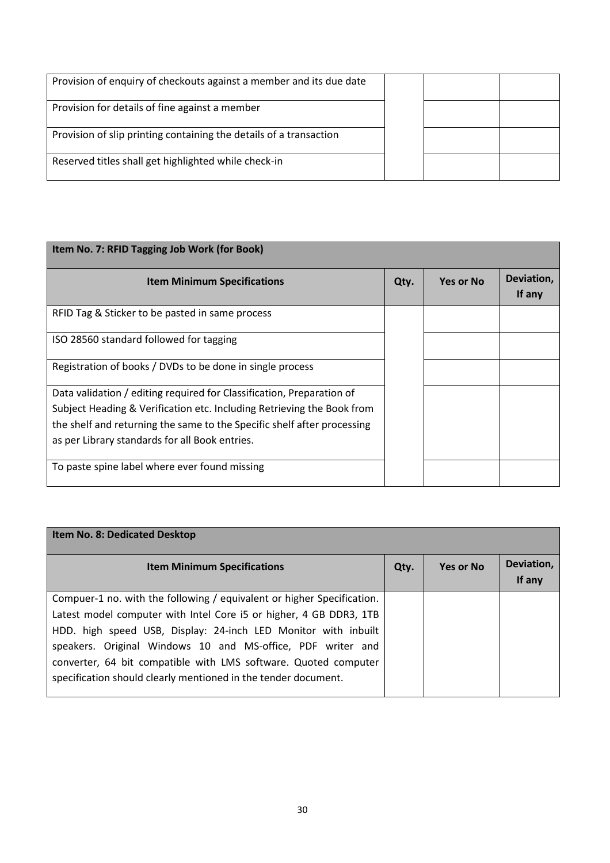| Provision of enquiry of checkouts against a member and its due date |  |  |
|---------------------------------------------------------------------|--|--|
| Provision for details of fine against a member                      |  |  |
|                                                                     |  |  |
| Provision of slip printing containing the details of a transaction  |  |  |
|                                                                     |  |  |
| Reserved titles shall get highlighted while check-in                |  |  |
|                                                                     |  |  |

| Item No. 7: RFID Tagging Job Work (for Book)                            |      |                  |                      |  |
|-------------------------------------------------------------------------|------|------------------|----------------------|--|
| <b>Item Minimum Specifications</b>                                      | Qty. | <b>Yes or No</b> | Deviation,<br>If any |  |
| RFID Tag & Sticker to be pasted in same process                         |      |                  |                      |  |
| ISO 28560 standard followed for tagging                                 |      |                  |                      |  |
| Registration of books / DVDs to be done in single process               |      |                  |                      |  |
| Data validation / editing required for Classification, Preparation of   |      |                  |                      |  |
| Subject Heading & Verification etc. Including Retrieving the Book from  |      |                  |                      |  |
| the shelf and returning the same to the Specific shelf after processing |      |                  |                      |  |
| as per Library standards for all Book entries.                          |      |                  |                      |  |
| To paste spine label where ever found missing                           |      |                  |                      |  |

| Item No. 8: Dedicated Desktop                                                                                                                                                                                                                                                                                                                                                                                      |      |                  |                      |
|--------------------------------------------------------------------------------------------------------------------------------------------------------------------------------------------------------------------------------------------------------------------------------------------------------------------------------------------------------------------------------------------------------------------|------|------------------|----------------------|
| <b>Item Minimum Specifications</b>                                                                                                                                                                                                                                                                                                                                                                                 | Qty. | <b>Yes or No</b> | Deviation,<br>If any |
| Compuer-1 no. with the following / equivalent or higher Specification.<br>Latest model computer with Intel Core i5 or higher, 4 GB DDR3, 1TB<br>HDD. high speed USB, Display: 24-inch LED Monitor with inbuilt<br>speakers. Original Windows 10 and MS-office, PDF writer and<br>converter, 64 bit compatible with LMS software. Quoted computer<br>specification should clearly mentioned in the tender document. |      |                  |                      |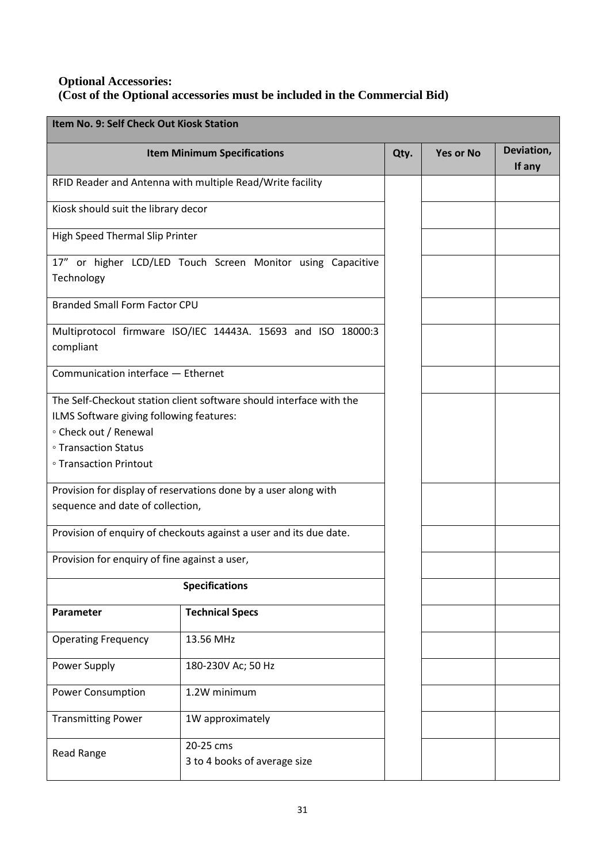#### **Optional Accessories: (Cost of the Optional accessories must be included in the Commercial Bid)**

| <b>Item No. 9: Self Check Out Kiosk Station</b>                                                                     |                                                                     |      |                  |                      |
|---------------------------------------------------------------------------------------------------------------------|---------------------------------------------------------------------|------|------------------|----------------------|
|                                                                                                                     | <b>Item Minimum Specifications</b>                                  | Qty. | <b>Yes or No</b> | Deviation,<br>If any |
|                                                                                                                     | RFID Reader and Antenna with multiple Read/Write facility           |      |                  |                      |
| Kiosk should suit the library decor                                                                                 |                                                                     |      |                  |                      |
| High Speed Thermal Slip Printer                                                                                     |                                                                     |      |                  |                      |
| Technology                                                                                                          | 17" or higher LCD/LED Touch Screen Monitor using Capacitive         |      |                  |                      |
| <b>Branded Small Form Factor CPU</b>                                                                                |                                                                     |      |                  |                      |
| compliant                                                                                                           | Multiprotocol firmware ISO/IEC 14443A. 15693 and ISO 18000:3        |      |                  |                      |
| Communication interface - Ethernet                                                                                  |                                                                     |      |                  |                      |
| ILMS Software giving following features:<br>· Check out / Renewal<br>∘ Transaction Status<br>∘ Transaction Printout | The Self-Checkout station client software should interface with the |      |                  |                      |
| sequence and date of collection,                                                                                    | Provision for display of reservations done by a user along with     |      |                  |                      |
|                                                                                                                     | Provision of enquiry of checkouts against a user and its due date.  |      |                  |                      |
| Provision for enquiry of fine against a user,                                                                       |                                                                     |      |                  |                      |
|                                                                                                                     | <b>Specifications</b>                                               |      |                  |                      |
| Parameter                                                                                                           | <b>Technical Specs</b>                                              |      |                  |                      |
| <b>Operating Frequency</b>                                                                                          | 13.56 MHz                                                           |      |                  |                      |
| Power Supply                                                                                                        | 180-230V Ac; 50 Hz                                                  |      |                  |                      |
| <b>Power Consumption</b>                                                                                            | 1.2W minimum                                                        |      |                  |                      |
| <b>Transmitting Power</b>                                                                                           | 1W approximately                                                    |      |                  |                      |
| <b>Read Range</b>                                                                                                   | 20-25 cms<br>3 to 4 books of average size                           |      |                  |                      |